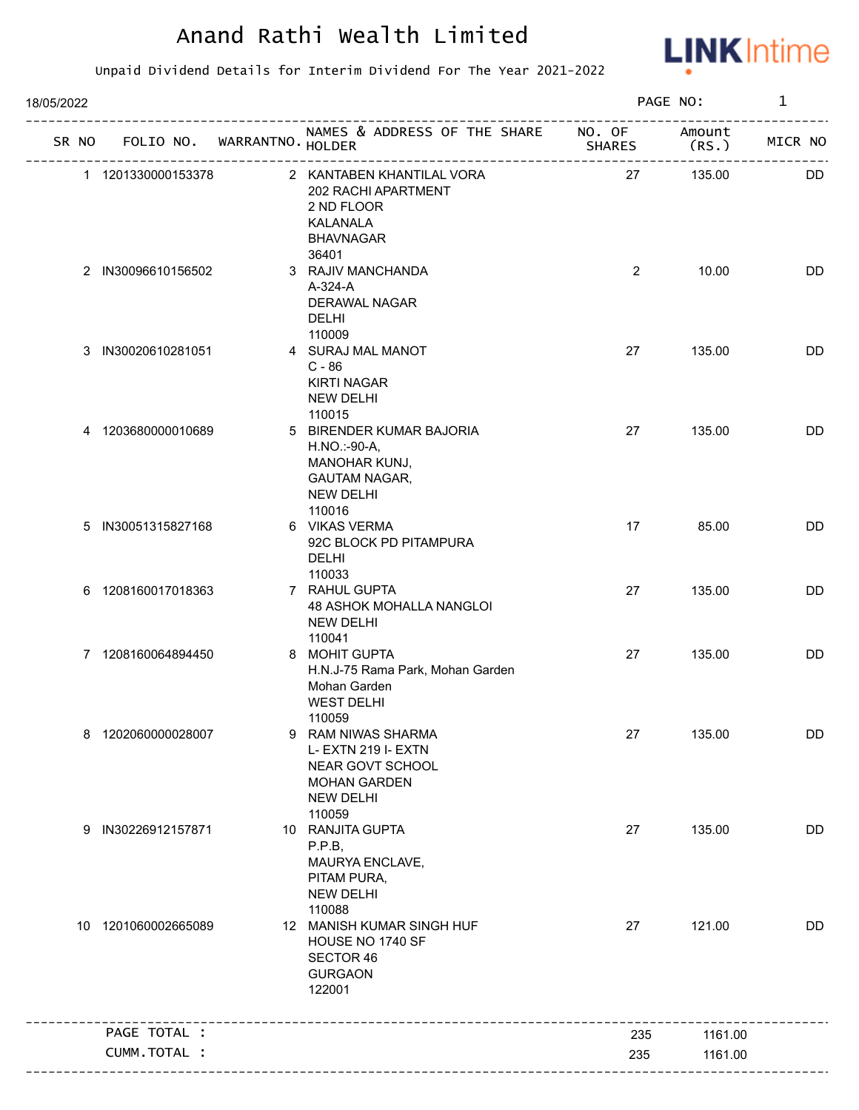

| 18/05/2022 |                     |  |                                   | PAGE NO:                                                                                                         | $\mathbf 1$    |         |           |
|------------|---------------------|--|-----------------------------------|------------------------------------------------------------------------------------------------------------------|----------------|---------|-----------|
|            |                     |  | SR NO FOLIO NO. WARRANTNO. HOLDER | NAMES & ADDRESS OF THE SHARE NO. OF Amount                                                                       | <b>SHARES</b>  | (RS.)   | MICR NO   |
|            | 1 1201330000153378  |  |                                   | 2 KANTABEN KHANTILAL VORA<br>202 RACHI APARTMENT<br>2 ND FLOOR<br>KALANALA<br><b>BHAVNAGAR</b>                   | 27             | 135.00  | DD.       |
|            | 2 IN30096610156502  |  |                                   | 36401<br>3 RAJIV MANCHANDA<br>A-324-A<br><b>DERAWAL NAGAR</b><br><b>DELHI</b><br>110009                          | $\overline{2}$ | 10.00   | <b>DD</b> |
|            | 3 IN30020610281051  |  |                                   | 4 SURAJ MAL MANOT<br>$C - 86$<br><b>KIRTI NAGAR</b><br><b>NEW DELHI</b><br>110015                                | 27             | 135.00  | <b>DD</b> |
|            | 4 1203680000010689  |  |                                   | 5 BIRENDER KUMAR BAJORIA<br>H.NO.:-90-A,<br><b>MANOHAR KUNJ,</b><br>GAUTAM NAGAR,<br><b>NEW DELHI</b><br>110016  | 27             | 135.00  | DD        |
|            | 5 IN30051315827168  |  |                                   | 6 VIKAS VERMA<br>92C BLOCK PD PITAMPURA<br>DELHI<br>110033                                                       | 17             | 85.00   | DD        |
|            | 6 1208160017018363  |  |                                   | 7 RAHUL GUPTA<br>48 ASHOK MOHALLA NANGLOI<br><b>NEW DELHI</b><br>110041                                          | 27             | 135.00  | <b>DD</b> |
|            | 7 1208160064894450  |  |                                   | 8 MOHIT GUPTA<br>H.N.J-75 Rama Park, Mohan Garden<br>Mohan Garden<br><b>WEST DELHI</b><br>110059                 | 27             | 135.00  | DD        |
| 8          | 1202060000028007    |  | 9                                 | RAM NIWAS SHARMA<br>L- EXTN 219 I- EXTN<br>NEAR GOVT SCHOOL<br><b>MOHAN GARDEN</b><br><b>NEW DELHI</b><br>110059 | 27             | 135.00  | <b>DD</b> |
|            | 9 IN30226912157871  |  |                                   | 10 RANJITA GUPTA<br>P.P.B,<br>MAURYA ENCLAVE,<br>PITAM PURA,<br><b>NEW DELHI</b><br>110088                       | 27             | 135.00  | <b>DD</b> |
|            | 10 1201060002665089 |  |                                   | 12 MANISH KUMAR SINGH HUF<br>HOUSE NO 1740 SF<br>SECTOR 46<br><b>GURGAON</b><br>122001                           | 27             | 121.00  | DD        |
|            | PAGE TOTAL :        |  |                                   |                                                                                                                  | 235            | 1161.00 |           |
|            | CUMM.TOTAL :        |  |                                   |                                                                                                                  | 235            | 1161.00 |           |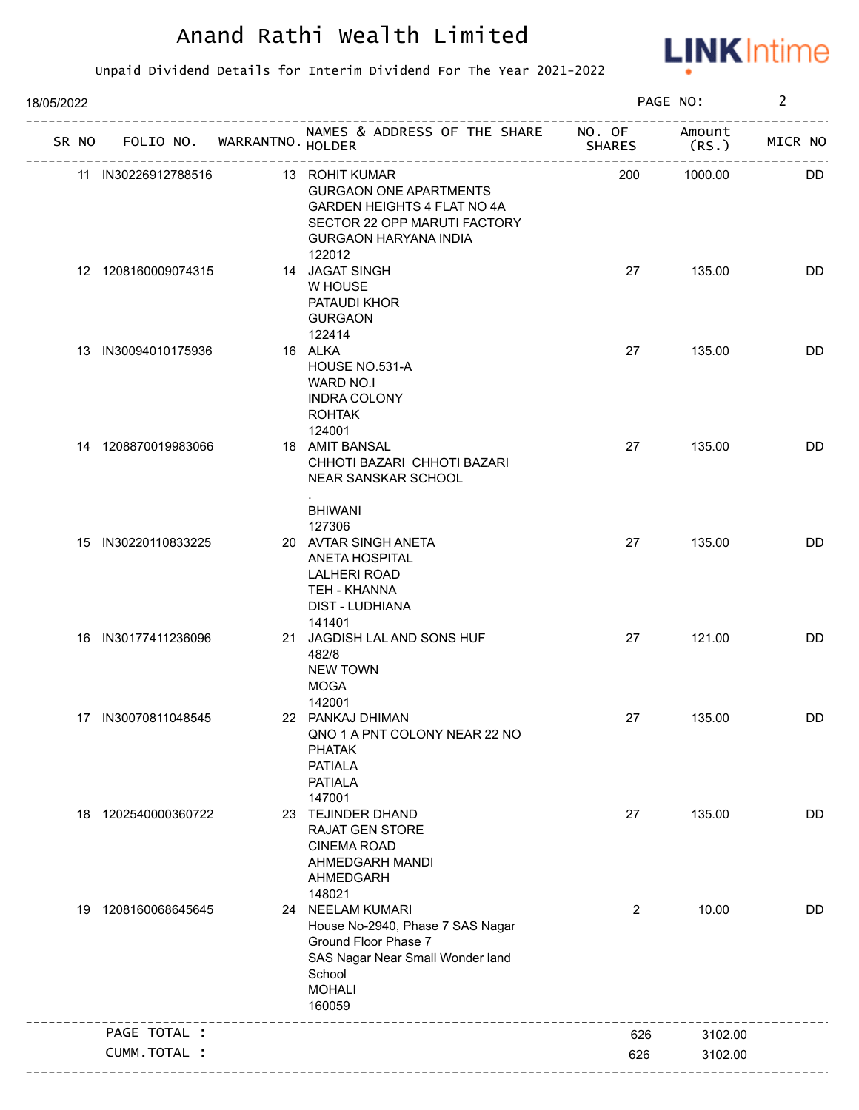

| 18/05/2022 |  |                     |  |                                   |                                                                                                                                                          |               | PAGE NO:       |         |           |
|------------|--|---------------------|--|-----------------------------------|----------------------------------------------------------------------------------------------------------------------------------------------------------|---------------|----------------|---------|-----------|
|            |  |                     |  | SR NO FOLIO NO. WARRANTNO. HOLDER | NAMES & ADDRESS OF THE SHARE NO. OF Amount                                                                                                               | <b>SHARES</b> |                | (RS.    | MICR NO   |
|            |  | 11 IN30226912788516 |  |                                   | 13 ROHIT KUMAR<br><b>GURGAON ONE APARTMENTS</b><br>GARDEN HEIGHTS 4 FLAT NO 4A<br>SECTOR 22 OPP MARUTI FACTORY<br><b>GURGAON HARYANA INDIA</b><br>122012 |               | 200            | 1000.00 | DD.       |
|            |  | 12 1208160009074315 |  |                                   | 14 JAGAT SINGH<br>W HOUSE<br>PATAUDI KHOR<br><b>GURGAON</b><br>122414                                                                                    |               | 27             | 135.00  | DD        |
|            |  | 13 IN30094010175936 |  |                                   | 16 ALKA<br>HOUSE NO.531-A<br>WARD NO.I<br><b>INDRA COLONY</b><br><b>ROHTAK</b>                                                                           |               | 27             | 135.00  | DD        |
|            |  | 14 1208870019983066 |  |                                   | 124001<br>18 AMIT BANSAL<br>CHHOTI BAZARI CHHOTI BAZARI<br>NEAR SANSKAR SCHOOL<br><b>BHIWANI</b>                                                         |               | 27             | 135.00  | DD        |
|            |  | 15 IN30220110833225 |  |                                   | 127306<br>20 AVTAR SINGH ANETA<br><b>ANETA HOSPITAL</b><br>LALHERI ROAD<br>TEH - KHANNA<br>DIST - LUDHIANA                                               |               | 27             | 135.00  | DD        |
|            |  | 16 IN30177411236096 |  |                                   | 141401<br>21 JAGDISH LAL AND SONS HUF<br>482/8<br><b>NEW TOWN</b><br><b>MOGA</b>                                                                         |               | 27             | 121.00  | <b>DD</b> |
|            |  | 17 IN30070811048545 |  |                                   | 142001<br>22 PANKAJ DHIMAN<br>QNO 1 A PNT COLONY NEAR 22 NO<br><b>PHATAK</b><br><b>PATIALA</b><br><b>PATIALA</b><br>147001                               |               | 27             | 135.00  | DD        |
| 18         |  | 1202540000360722    |  |                                   | 23 TEJINDER DHAND<br><b>RAJAT GEN STORE</b><br><b>CINEMA ROAD</b><br>AHMEDGARH MANDI<br>AHMEDGARH<br>148021                                              |               | 27             | 135.00  | <b>DD</b> |
| 19         |  | 1208160068645645    |  |                                   | 24 NEELAM KUMARI<br>House No-2940, Phase 7 SAS Nagar<br>Ground Floor Phase 7<br>SAS Nagar Near Small Wonder land<br>School<br><b>MOHALI</b><br>160059    |               | $\overline{2}$ | 10.00   | DD        |
|            |  | PAGE TOTAL :        |  |                                   |                                                                                                                                                          |               | 626            | 3102.00 |           |
|            |  | CUMM.TOTAL :        |  |                                   |                                                                                                                                                          |               | 626            | 3102.00 |           |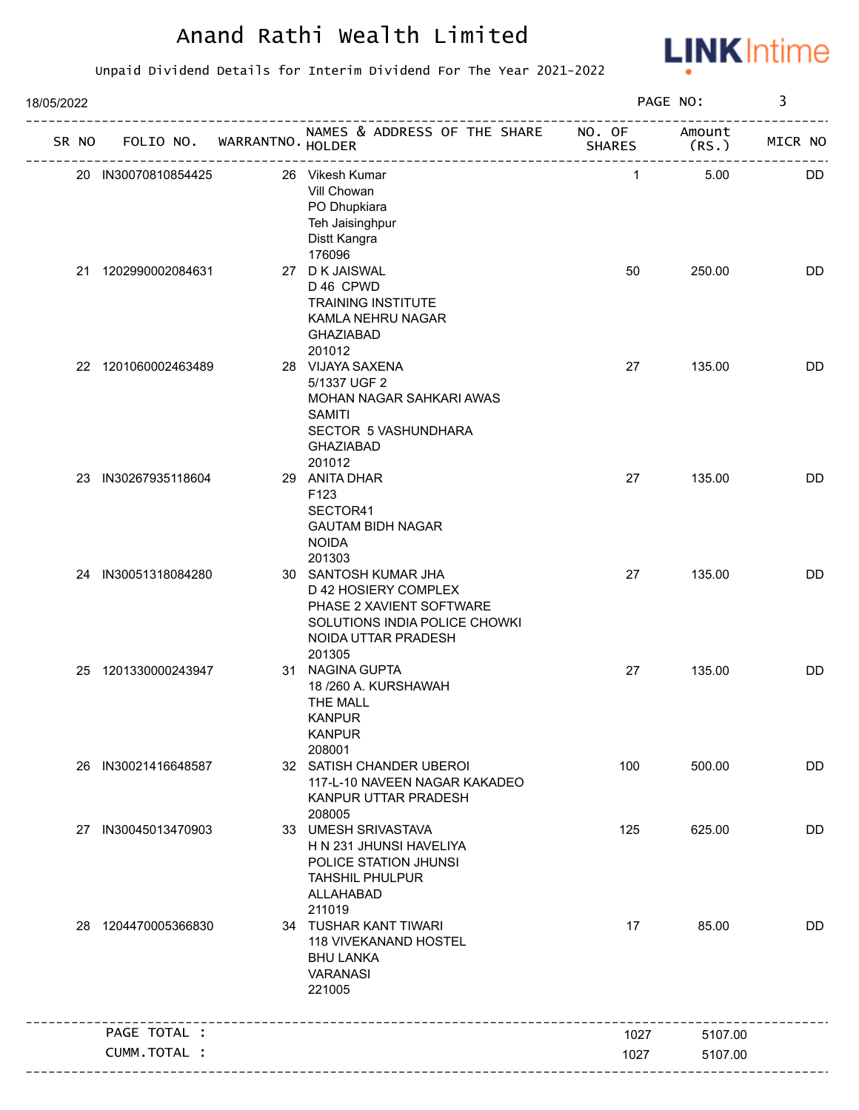

| 18/05/2022 |       |                     |                             |                                                                                                                                               | PAGE NO:     | 3               |           |
|------------|-------|---------------------|-----------------------------|-----------------------------------------------------------------------------------------------------------------------------------------------|--------------|-----------------|-----------|
|            | SR NO |                     | FOLIO NO. WARRANTNO. HOLDER | NAMES & ADDRESS OF THE SHARE NO. OF                                                                                                           | SHARES       | Amount<br>(RS.) | MICR NO   |
|            |       | 20 IN30070810854425 |                             | 26 Vikesh Kumar<br>Vill Chowan<br>PO Dhupkiara<br>Teh Jaisinghpur<br>Distt Kangra                                                             | $\mathbf{1}$ | 5.00            | <b>DD</b> |
|            | 21    | 1202990002084631    |                             | 176096<br>27 D K JAISWAL<br>D 46 CPWD<br><b>TRAINING INSTITUTE</b><br>KAMLA NEHRU NAGAR<br><b>GHAZIABAD</b>                                   | 50           | 250.00          | DD        |
|            |       | 22 1201060002463489 |                             | 201012<br>28 VIJAYA SAXENA<br>5/1337 UGF 2<br>MOHAN NAGAR SAHKARI AWAS<br><b>SAMITI</b><br>SECTOR 5 VASHUNDHARA<br><b>GHAZIABAD</b><br>201012 | 27           | 135.00          | DD        |
|            |       | 23 IN30267935118604 |                             | 29 ANITA DHAR<br>F123<br>SECTOR41<br><b>GAUTAM BIDH NAGAR</b><br><b>NOIDA</b><br>201303                                                       | 27           | 135.00          | <b>DD</b> |
|            |       | 24 IN30051318084280 |                             | 30 SANTOSH KUMAR JHA<br>D 42 HOSIERY COMPLEX<br>PHASE 2 XAVIENT SOFTWARE<br>SOLUTIONS INDIA POLICE CHOWKI<br>NOIDA UTTAR PRADESH<br>201305    | 27           | 135.00          | <b>DD</b> |
|            | 25    | 1201330000243947    |                             | 31 NAGINA GUPTA<br>18 /260 A. KURSHAWAH<br>THE MALL<br><b>KANPUR</b><br><b>KANPUR</b><br>208001                                               | 27           | 135.00          | DD        |
|            |       | 26 IN30021416648587 |                             | 32 SATISH CHANDER UBEROI<br>117-L-10 NAVEEN NAGAR KAKADEO<br>KANPUR UTTAR PRADESH<br>208005                                                   | 100          | 500.00          | DD        |
|            |       | 27 IN30045013470903 |                             | 33 UMESH SRIVASTAVA<br>H N 231 JHUNSI HAVELIYA<br>POLICE STATION JHUNSI<br><b>TAHSHIL PHULPUR</b><br>ALLAHABAD<br>211019                      | 125          | 625.00          | DD        |
|            |       | 28 1204470005366830 |                             | 34 TUSHAR KANT TIWARI<br>118 VIVEKANAND HOSTEL<br><b>BHU LANKA</b><br><b>VARANASI</b><br>221005                                               | 17           | 85.00           | DD        |
|            |       | PAGE TOTAL :        |                             |                                                                                                                                               | 1027         | 5107.00         |           |
|            |       | CUMM.TOTAL :        |                             |                                                                                                                                               | 1027         | 5107.00         |           |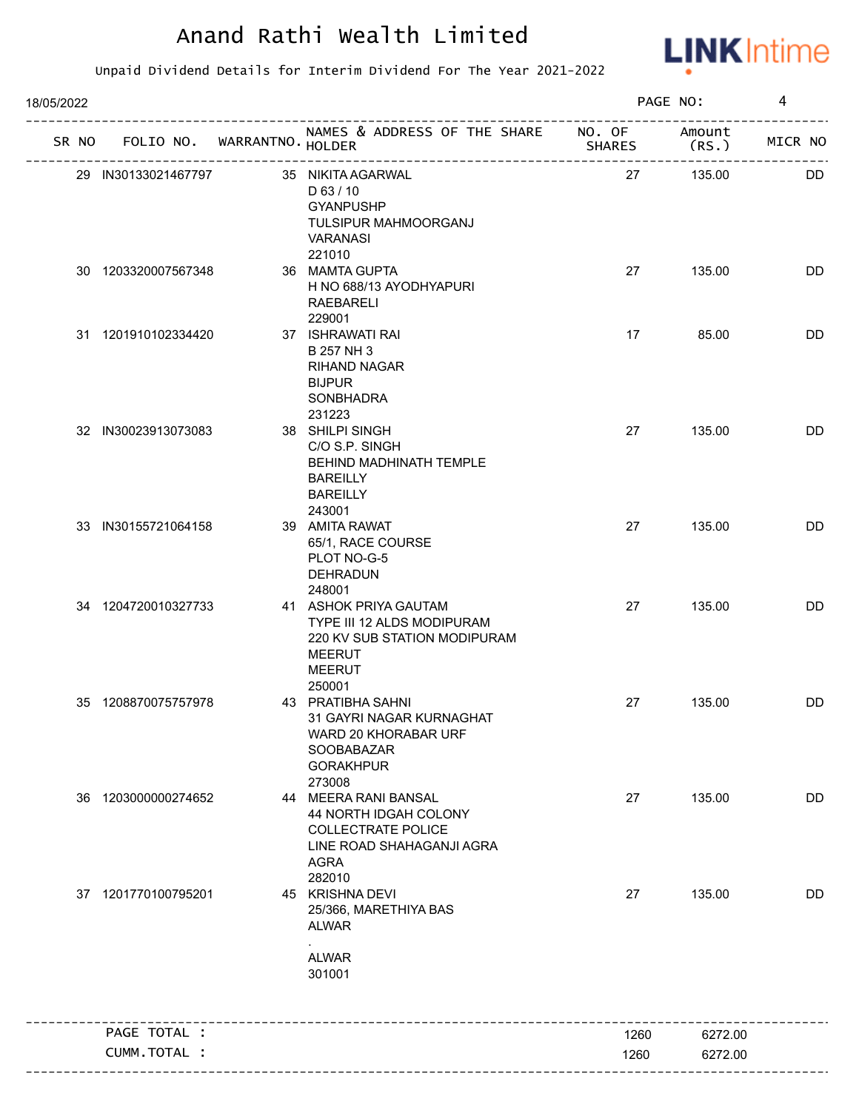

| 18/05/2022 |                                   |                                                                                                                                  |               | PAGE NO:         | 4         |
|------------|-----------------------------------|----------------------------------------------------------------------------------------------------------------------------------|---------------|------------------|-----------|
|            | SR NO FOLIO NO. WARRANTNO. HOLDER | NAMES & ADDRESS OF THE SHARE NO. OF                                                                                              | <b>SHARES</b> | Amount<br>(RS. ) | MICR NO   |
|            | 29 IN30133021467797               | 35 NIKITA AGARWAL<br>$D$ 63 / 10<br><b>GYANPUSHP</b><br>TULSIPUR MAHMOORGANJ<br><b>VARANASI</b>                                  | 27            | 135.00           | DD.       |
|            | 30 1203320007567348               | 221010<br>36 MAMTA GUPTA<br>H NO 688/13 AYODHYAPURI<br>RAEBARELI<br>229001                                                       | 27            | 135.00           | DD        |
|            | 31 1201910102334420               | 37 ISHRAWATI RAI<br>B 257 NH 3<br><b>RIHAND NAGAR</b><br><b>BIJPUR</b><br>SONBHADRA<br>231223                                    | 17            | 85.00            | DD        |
|            | 32 IN30023913073083               | 38 SHILPI SINGH<br>C/O S.P. SINGH<br>BEHIND MADHINATH TEMPLE<br><b>BAREILLY</b><br><b>BAREILLY</b><br>243001                     | 27            | 135.00           | DD        |
|            | 33 IN30155721064158               | 39 AMITA RAWAT<br>65/1, RACE COURSE<br>PLOT NO-G-5<br>DEHRADUN<br>248001                                                         | 27            | 135.00           | <b>DD</b> |
|            | 34 1204720010327733               | 41 ASHOK PRIYA GAUTAM<br>TYPE III 12 ALDS MODIPURAM<br>220 KV SUB STATION MODIPURAM<br><b>MEERUT</b><br><b>MEERUT</b><br>250001  | 27            | 135.00           | DD        |
|            | 35 1208870075757978               | 43 PRATIBHA SAHNI<br>31 GAYRI NAGAR KURNAGHAT<br>WARD 20 KHORABAR URF<br>SOOBABAZAR<br><b>GORAKHPUR</b><br>273008                | 27            | 135.00           | DD        |
|            | 36 1203000000274652               | 44 MEERA RANI BANSAL<br>44 NORTH IDGAH COLONY<br><b>COLLECTRATE POLICE</b><br>LINE ROAD SHAHAGANJI AGRA<br><b>AGRA</b><br>282010 | 27            | 135.00           | <b>DD</b> |
|            | 37 1201770100795201               | 45 KRISHNA DEVI<br>25/366, MARETHIYA BAS<br><b>ALWAR</b><br><b>ALWAR</b><br>301001                                               | 27            | 135.00           | DD        |
|            | PAGE TOTAL :                      |                                                                                                                                  | 1260          | 6272.00          |           |
|            | CUMM.TOTAL :                      |                                                                                                                                  | 1260          | 6272.00          |           |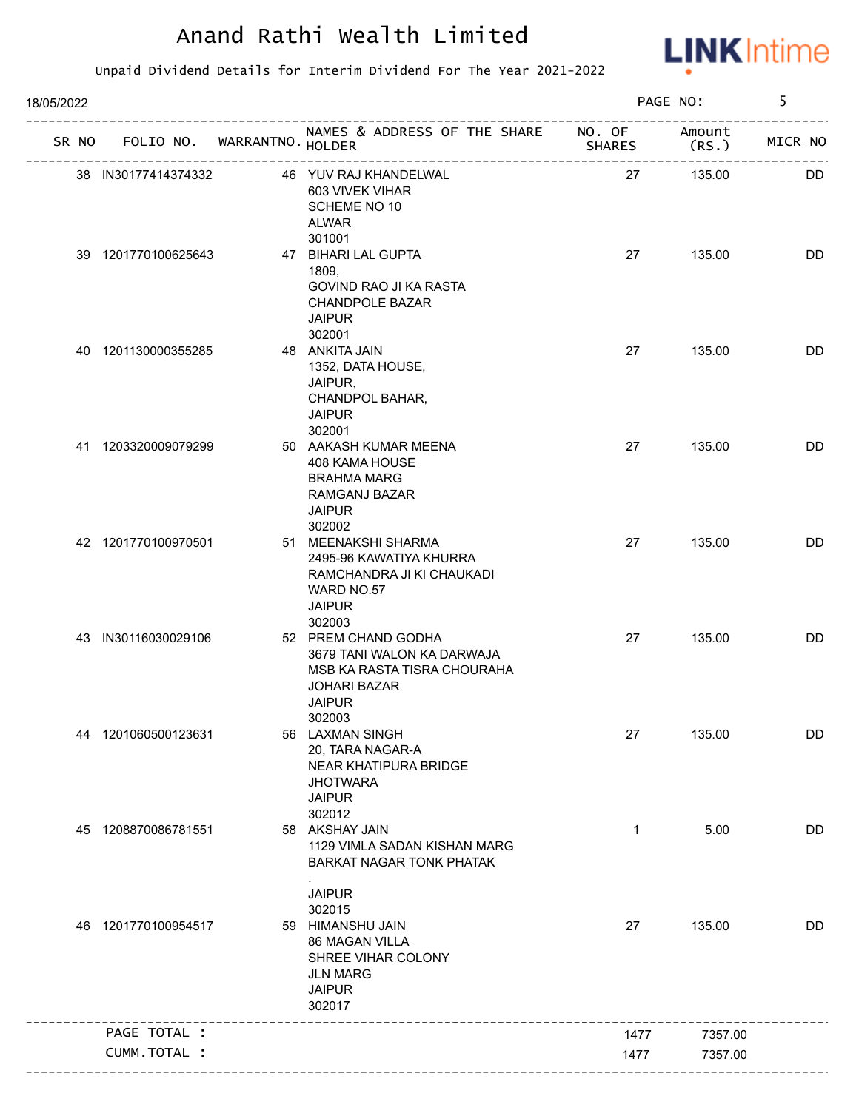

| 18/05/2022 |                     |                                   |                                                                                                                                    | PAGE NO:      | 5       |         |
|------------|---------------------|-----------------------------------|------------------------------------------------------------------------------------------------------------------------------------|---------------|---------|---------|
|            |                     | SR NO FOLIO NO. WARRANTNO. HOLDER | NAMES & ADDRESS OF THE SHARE NO. OF Amount                                                                                         | <b>SHARES</b> | (RS.    | MICR NO |
|            | 38 IN30177414374332 |                                   | 46 YUV RAJ KHANDELWAL<br>603 VIVEK VIHAR<br>SCHEME NO 10<br><b>ALWAR</b><br>301001                                                 | 27            | 135.00  | DD.     |
|            | 39 1201770100625643 |                                   | 47 BIHARI LAL GUPTA<br>1809,<br><b>GOVIND RAO JI KA RASTA</b><br><b>CHANDPOLE BAZAR</b><br><b>JAIPUR</b>                           | 27            | 135.00  | DD      |
|            | 40 1201130000355285 |                                   | 302001<br>48 ANKITA JAIN<br>1352, DATA HOUSE,<br>JAIPUR,<br>CHANDPOL BAHAR,<br><b>JAIPUR</b><br>302001                             | 27            | 135.00  | DD      |
|            | 41 1203320009079299 |                                   | 50 AAKASH KUMAR MEENA<br>408 KAMA HOUSE<br><b>BRAHMA MARG</b><br>RAMGANJ BAZAR<br><b>JAIPUR</b><br>302002                          | 27            | 135.00  | DD      |
|            | 42 1201770100970501 |                                   | 51 MEENAKSHI SHARMA<br>2495-96 KAWATIYA KHURRA<br>RAMCHANDRA JI KI CHAUKADI<br>WARD NO.57<br><b>JAIPUR</b><br>302003               | 27            | 135.00  | DD      |
|            | 43 IN30116030029106 |                                   | 52 PREM CHAND GODHA<br>3679 TANI WALON KA DARWAJA<br>MSB KA RASTA TISRA CHOURAHA<br><b>JOHARI BAZAR</b><br><b>JAIPUR</b><br>302003 | 27            | 135.00  | DD      |
|            | 44 1201060500123631 |                                   | 56 LAXMAN SINGH<br>20, TARA NAGAR-A<br>NEAR KHATIPURA BRIDGE<br><b>JHOTWARA</b><br><b>JAIPUR</b><br>302012                         | 27            | 135.00  | DD      |
| 45         | 1208870086781551    |                                   | 58 AKSHAY JAIN<br>1129 VIMLA SADAN KISHAN MARG<br><b>BARKAT NAGAR TONK PHATAK</b><br><b>JAIPUR</b>                                 | $\mathbf{1}$  | 5.00    | DD      |
|            | 46 1201770100954517 |                                   | 302015<br>59 HIMANSHU JAIN<br>86 MAGAN VILLA<br>SHREE VIHAR COLONY<br><b>JLN MARG</b><br><b>JAIPUR</b><br>302017                   | 27            | 135.00  | DD      |
|            | PAGE TOTAL :        |                                   |                                                                                                                                    | 1477          | 7357.00 |         |
|            | CUMM.TOTAL :        |                                   |                                                                                                                                    | 1477          | 7357.00 |         |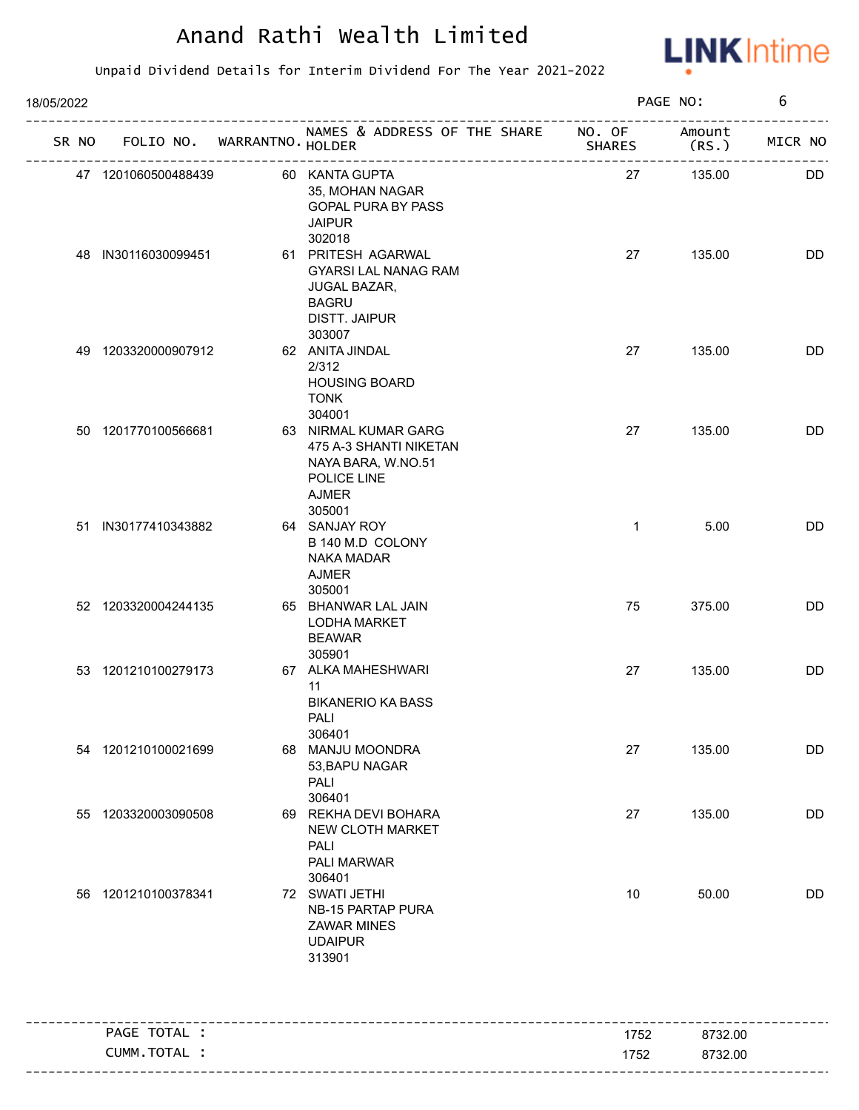

| 18/05/2022<br>SR NO FOLIO NO. WARRANTNO. HOLDER<br>60 KANTA GUPTA<br>47 1201060500488439<br>35, MOHAN NAGAR<br>GOPAL PURA BY PASS<br><b>JAIPUR</b><br>302018<br>48 IN30116030099451<br>61 PRITESH AGARWAL<br><b>GYARSI LAL NANAG RAM</b><br><b>JUGAL BAZAR,</b> |                     |  |  |                                                                                                     |               | PAGE NO:        | 6       |
|-----------------------------------------------------------------------------------------------------------------------------------------------------------------------------------------------------------------------------------------------------------------|---------------------|--|--|-----------------------------------------------------------------------------------------------------|---------------|-----------------|---------|
|                                                                                                                                                                                                                                                                 |                     |  |  | NAMES & ADDRESS OF THE SHARE NO. OF                                                                 | <b>SHARES</b> | Amount<br>(RS.) | MICR NO |
|                                                                                                                                                                                                                                                                 |                     |  |  |                                                                                                     | 27            | 135.00          | DD.     |
|                                                                                                                                                                                                                                                                 |                     |  |  | <b>BAGRU</b><br><b>DISTT. JAIPUR</b>                                                                | 27            | 135.00          | DD      |
|                                                                                                                                                                                                                                                                 | 49 1203320000907912 |  |  | 303007<br>62 ANITA JINDAL<br>2/312<br><b>HOUSING BOARD</b><br><b>TONK</b><br>304001                 | 27            | 135.00          | DD      |
|                                                                                                                                                                                                                                                                 | 50 1201770100566681 |  |  | 63 NIRMAL KUMAR GARG<br>475 A-3 SHANTI NIKETAN<br>NAYA BARA, W.NO.51<br>POLICE LINE<br><b>AJMER</b> | 27            | 135.00          | DD      |
|                                                                                                                                                                                                                                                                 | 51 IN30177410343882 |  |  | 305001<br>64 SANJAY ROY<br>B 140 M.D COLONY<br>NAKA MADAR<br><b>AJMER</b><br>305001                 | $\mathbf{1}$  | 5.00            | DD      |
|                                                                                                                                                                                                                                                                 | 52 1203320004244135 |  |  | 65 BHANWAR LAL JAIN<br><b>LODHA MARKET</b><br><b>BEAWAR</b>                                         | 75            | 375.00          | DD      |
|                                                                                                                                                                                                                                                                 | 53 1201210100279173 |  |  | 305901<br>67 ALKA MAHESHWARI<br>11<br><b>BIKANERIO KA BASS</b><br>PALI<br>306401                    | 27            | 135.00          | DD      |
|                                                                                                                                                                                                                                                                 | 54 1201210100021699 |  |  | 68 MANJU MOONDRA<br>53, BAPU NAGAR<br>PALI<br>306401                                                | 27            | 135.00          | DD      |
|                                                                                                                                                                                                                                                                 | 55 1203320003090508 |  |  | 69 REKHA DEVI BOHARA<br>NEW CLOTH MARKET<br><b>PALI</b><br>PALI MARWAR<br>306401                    | 27            | 135.00          | DD      |
|                                                                                                                                                                                                                                                                 | 56 1201210100378341 |  |  | 72 SWATI JETHI<br>NB-15 PARTAP PURA<br><b>ZAWAR MINES</b><br><b>UDAIPUR</b><br>313901               | 10            | 50.00           | DD      |
|                                                                                                                                                                                                                                                                 | PAGE TOTAL :        |  |  |                                                                                                     | 1752          | 8732.00         |         |
|                                                                                                                                                                                                                                                                 | CUMM.TOTAL :        |  |  |                                                                                                     | 1752          | 8732.00         |         |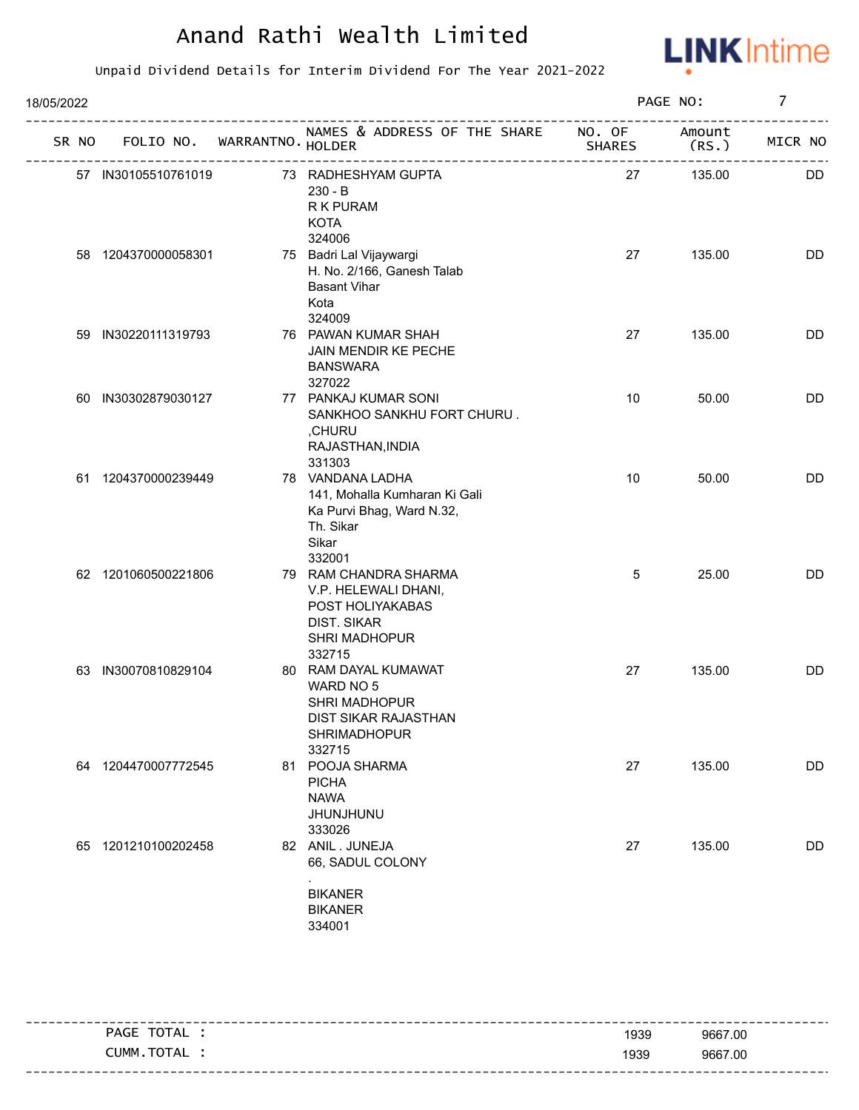

| 18/05/2022 |       |                     |                             | PAGE NO:                                                                                                           | 7             |                 |           |
|------------|-------|---------------------|-----------------------------|--------------------------------------------------------------------------------------------------------------------|---------------|-----------------|-----------|
|            | SR NO |                     | FOLIO NO. WARRANTNO. HOLDER | NAMES & ADDRESS OF THE SHARE NO. OF                                                                                | <b>SHARES</b> | Amount<br>(RS.) | MICR NO   |
|            |       | 57 IN30105510761019 |                             | 73 RADHESHYAM GUPTA<br>$230 - B$<br>R K PURAM<br><b>KOTA</b><br>324006                                             | 27            | 135.00          | DD        |
|            |       | 58 1204370000058301 |                             | 75 Badri Lal Vijaywargi<br>H. No. 2/166, Ganesh Talab<br><b>Basant Vihar</b><br>Kota<br>324009                     | 27            | 135.00          | DD        |
|            | 59    | IN30220111319793    |                             | 76 PAWAN KUMAR SHAH<br>JAIN MENDIR KE PECHE<br><b>BANSWARA</b><br>327022                                           | 27            | 135.00          | DD        |
|            | 60    | IN30302879030127    |                             | 77 PANKAJ KUMAR SONI<br>SANKHOO SANKHU FORT CHURU.<br>,CHURU<br>RAJASTHAN, INDIA<br>331303                         | 10            | 50.00           | <b>DD</b> |
|            |       | 61 1204370000239449 |                             | 78 VANDANA LADHA<br>141, Mohalla Kumharan Ki Gali<br>Ka Purvi Bhag, Ward N.32,<br>Th. Sikar<br>Sikar<br>332001     | 10            | 50.00           | <b>DD</b> |
|            |       | 62 1201060500221806 |                             | 79 RAM CHANDRA SHARMA<br>V.P. HELEWALI DHANI,<br>POST HOLIYAKABAS<br><b>DIST. SIKAR</b><br>SHRI MADHOPUR<br>332715 | 5             | 25.00           | <b>DD</b> |
|            | 63    | IN30070810829104    |                             | 80 RAM DAYAL KUMAWAT<br>WARD NO 5<br>SHRI MADHOPUR<br>DIST SIKAR RAJASTHAN<br>SHRIMADHOPUR<br>332715               | 27            | 135.00          | DD        |
|            |       | 64 1204470007772545 |                             | 81 POOJA SHARMA<br><b>PICHA</b><br><b>NAWA</b><br><b>JHUNJHUNU</b><br>333026                                       | 27            | 135.00          | DD        |
|            |       | 65 1201210100202458 |                             | 82 ANIL. JUNEJA<br>66, SADUL COLONY<br><b>BIKANER</b><br><b>BIKANER</b><br>334001                                  | 27            | 135.00          | DD        |

| TOTAL .<br>PAGE | 1939 | 9667.00 |
|-----------------|------|---------|
| CUMM. TOTAL :   | 1939 | 9667.00 |
|                 |      |         |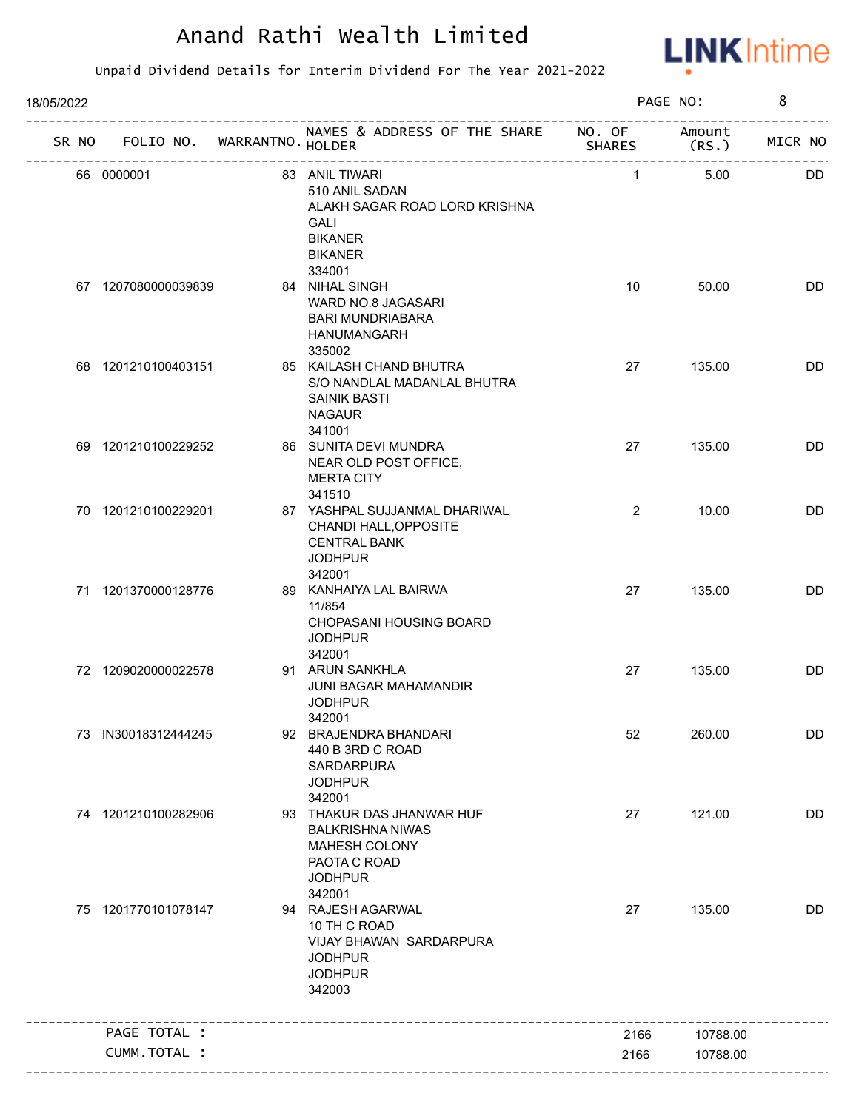

| 18/05/2022 |                                   |                                                                                                                                |               | PAGE NO: | 8       |
|------------|-----------------------------------|--------------------------------------------------------------------------------------------------------------------------------|---------------|----------|---------|
|            | SR NO FOLIO NO. WARRANTNO. HOLDER | NAMES & ADDRESS OF THE SHARE NO. OF Amount                                                                                     | <b>SHARES</b> | (RS.)    | MICR NO |
|            | 66 0000001                        | 83 ANIL TIWARI<br>510 ANIL SADAN<br>ALAKH SAGAR ROAD LORD KRISHNA<br><b>GALI</b><br><b>BIKANER</b><br><b>BIKANER</b><br>334001 | $\mathbf{1}$  | 5.00     | DD.     |
|            | 67 1207080000039839               | 84 NIHAL SINGH<br>WARD NO.8 JAGASARI<br><b>BARI MUNDRIABARA</b><br>HANUMANGARH<br>335002                                       | 10            | 50.00    | DD      |
|            | 68 1201210100403151               | 85 KAILASH CHAND BHUTRA<br>S/O NANDLAL MADANLAL BHUTRA<br><b>SAINIK BASTI</b><br><b>NAGAUR</b><br>341001                       | 27            | 135.00   | DD      |
|            | 69 1201210100229252               | 86 SUNITA DEVI MUNDRA<br>NEAR OLD POST OFFICE,<br><b>MERTA CITY</b><br>341510                                                  | 27            | 135.00   | DD      |
|            | 70 1201210100229201               | 87 YASHPAL SUJJANMAL DHARIWAL<br>CHANDI HALL, OPPOSITE<br><b>CENTRAL BANK</b><br><b>JODHPUR</b><br>342001                      | 2             | 10.00    | DD      |
|            | 71 1201370000128776               | 89 KANHAIYA LAL BAIRWA<br>11/854<br>CHOPASANI HOUSING BOARD<br><b>JODHPUR</b><br>342001                                        | 27            | 135.00   | DD      |
|            | 72 1209020000022578               | 91 ARUN SANKHLA<br>JUNI BAGAR MAHAMANDIR<br><b>JODHPUR</b><br>342001                                                           | 27            | 135.00   | DD      |
|            | 73 IN30018312444245               | 92 BRAJENDRA BHANDARI<br>440 B 3RD C ROAD<br>SARDARPURA<br><b>JODHPUR</b><br>342001                                            | 52            | 260.00   | DD      |
|            | 74 1201210100282906               | 93 THAKUR DAS JHANWAR HUF<br><b>BALKRISHNA NIWAS</b><br>MAHESH COLONY<br>PAOTA C ROAD<br><b>JODHPUR</b><br>342001              | 27            | 121.00   | DD      |
|            | 75 1201770101078147               | 94 RAJESH AGARWAL<br>10 TH C ROAD<br>VIJAY BHAWAN SARDARPURA<br><b>JODHPUR</b><br><b>JODHPUR</b><br>342003                     | 27            | 135.00   | DD      |
|            | PAGE TOTAL :                      |                                                                                                                                | 2166          | 10788.00 |         |
|            | CUMM.TOTAL :                      |                                                                                                                                | 2166          | 10788.00 |         |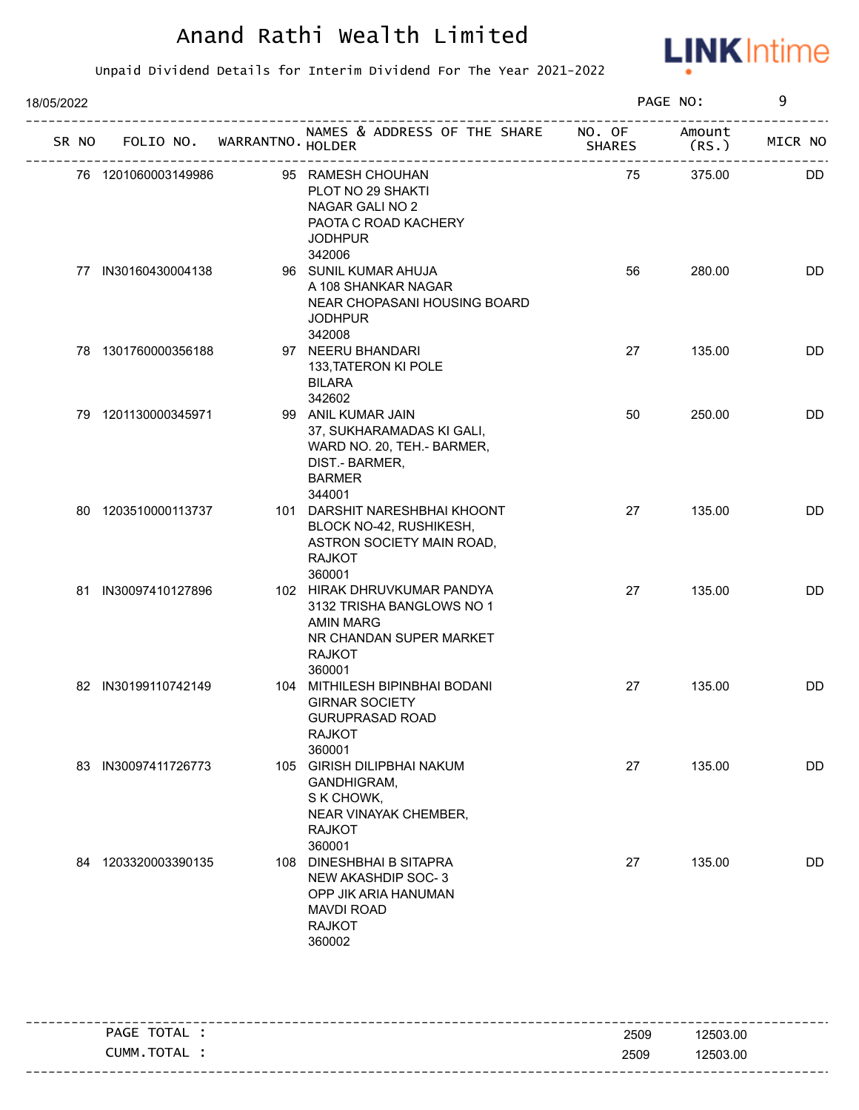

| 18/05/2022 |    |                     |                                   |                                                                                                                                    | PAGE NO:      | 9               |           |
|------------|----|---------------------|-----------------------------------|------------------------------------------------------------------------------------------------------------------------------------|---------------|-----------------|-----------|
|            |    |                     | SR NO FOLIO NO. WARRANTNO. HOLDER | NAMES & ADDRESS OF THE SHARE NO. OF                                                                                                | <b>SHARES</b> | Amount<br>(RS.) | MICR NO   |
|            |    | 76 1201060003149986 |                                   | 95 RAMESH CHOUHAN<br>PLOT NO 29 SHAKTI<br>NAGAR GALI NO 2<br>PAOTA C ROAD KACHERY<br><b>JODHPUR</b><br>342006                      | 75            | 375.00          | <b>DD</b> |
|            |    | 77 IN30160430004138 |                                   | 96 SUNIL KUMAR AHUJA<br>A 108 SHANKAR NAGAR<br>NEAR CHOPASANI HOUSING BOARD<br><b>JODHPUR</b><br>342008                            | 56            | 280.00          | <b>DD</b> |
|            |    | 78 1301760000356188 |                                   | 97 NEERU BHANDARI<br>133, TATERON KI POLE<br><b>BILARA</b><br>342602                                                               | 27            | 135.00          | DD        |
|            |    | 79 1201130000345971 |                                   | 99 ANIL KUMAR JAIN<br>37, SUKHARAMADAS KI GALI,<br>WARD NO. 20, TEH.- BARMER,<br>DIST.- BARMER,<br><b>BARMER</b><br>344001         | 50            | 250.00          | DD        |
|            |    | 80 1203510000113737 |                                   | 101 DARSHIT NARESHBHAI KHOONT<br>BLOCK NO-42, RUSHIKESH,<br>ASTRON SOCIETY MAIN ROAD,<br><b>RAJKOT</b><br>360001                   | 27            | 135.00          | DD        |
|            |    | 81 IN30097410127896 |                                   | 102 HIRAK DHRUVKUMAR PANDYA<br>3132 TRISHA BANGLOWS NO 1<br><b>AMIN MARG</b><br>NR CHANDAN SUPER MARKET<br><b>RAJKOT</b><br>360001 | 27            | 135.00          | DD        |
|            |    | 82 IN30199110742149 |                                   | 104 MITHILESH BIPINBHAI BODANI<br><b>GIRNAR SOCIETY</b><br><b>GURUPRASAD ROAD</b><br><b>RAJKOT</b><br>360001                       | 27            | 135.00          | DD        |
|            | 83 | IN30097411726773    | 105                               | <b>GIRISH DILIPBHAI NAKUM</b><br>GANDHIGRAM,<br>S K CHOWK,<br>NEAR VINAYAK CHEMBER,<br><b>RAJKOT</b><br>360001                     | 27            | 135.00          | <b>DD</b> |
|            |    | 84 1203320003390135 | 108                               | <b>DINESHBHAI B SITAPRA</b><br>NEW AKASHDIP SOC-3<br>OPP JIK ARIA HANUMAN<br><b>MAVDI ROAD</b><br><b>RAJKOT</b><br>360002          | 27            | 135.00          | <b>DD</b> |

|          | TOTAL<br>PAGE | 2509 | 12503.00 |
|----------|---------------|------|----------|
|          | CUMM.TOTAL    | 2509 | 12503.00 |
| -------- |               |      |          |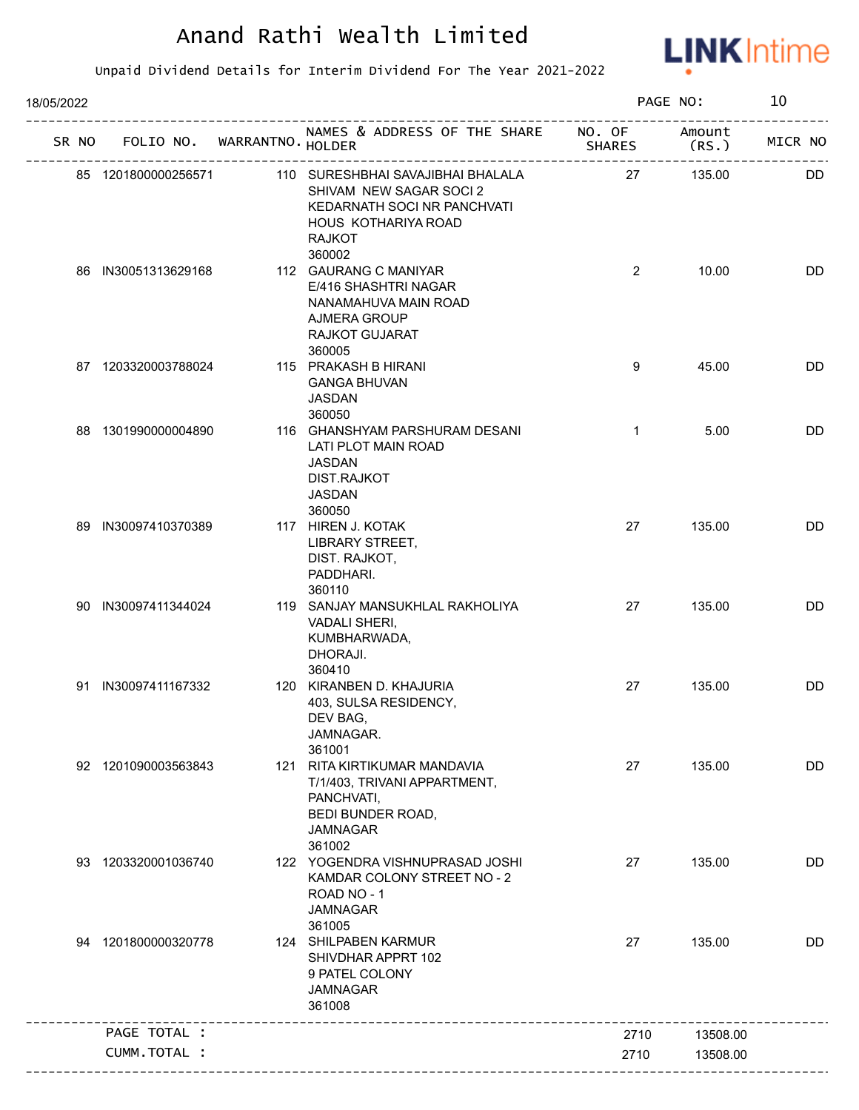

| 18/05/2022 |                     |                                   |                                                                                                                                     |                | PAGE NO: | 10        |
|------------|---------------------|-----------------------------------|-------------------------------------------------------------------------------------------------------------------------------------|----------------|----------|-----------|
|            |                     | SR NO FOLIO NO. WARRANTNO. HOLDER | NAMES & ADDRESS OF THE SHARE NO. OF                                                                                                 |                | Amount   | MICR NO   |
|            | 85 1201800000256571 |                                   | 110 SURESHBHAI SAVAJIBHAI BHALALA<br>SHIVAM NEW SAGAR SOCI 2<br>KEDARNATH SOCI NR PANCHVATI<br>HOUS KOTHARIYA ROAD<br><b>RAJKOT</b> | 27             | 135.00   | <b>DD</b> |
|            | 86 IN30051313629168 |                                   | 360002<br>112 GAURANG C MANIYAR<br>E/416 SHASHTRI NAGAR<br>NANAMAHUVA MAIN ROAD<br>AJMERA GROUP<br>RAJKOT GUJARAT<br>360005         | $\overline{2}$ | 10.00    | <b>DD</b> |
|            | 87 1203320003788024 |                                   | 115 PRAKASH B HIRANI<br><b>GANGA BHUVAN</b><br>JASDAN<br>360050                                                                     | 9              | 45.00    | <b>DD</b> |
|            | 88 1301990000004890 |                                   | 116 GHANSHYAM PARSHURAM DESANI<br>LATI PLOT MAIN ROAD<br><b>JASDAN</b><br>DIST.RAJKOT<br><b>JASDAN</b><br>360050                    | $\mathbf{1}$   | 5.00     | DD        |
|            | 89 IN30097410370389 |                                   | 117 HIREN J. KOTAK<br>LIBRARY STREET,<br>DIST. RAJKOT,<br>PADDHARI.<br>360110                                                       | 27             | 135.00   | DD        |
|            | 90 IN30097411344024 |                                   | 119 SANJAY MANSUKHLAL RAKHOLIYA<br>VADALI SHERI,<br>KUMBHARWADA,<br>DHORAJI.<br>360410                                              | 27             | 135.00   | <b>DD</b> |
|            | 91 IN30097411167332 |                                   | 120 KIRANBEN D. KHAJURIA<br>403, SULSA RESIDENCY,<br>DEV BAG,<br>JAMNAGAR.<br>361001                                                | 27             | 135.00   | <b>DD</b> |
|            | 92 1201090003563843 | 121                               | RITA KIRTIKUMAR MANDAVIA<br>T/1/403, TRIVANI APPARTMENT,<br>PANCHVATI,<br>BEDI BUNDER ROAD,<br><b>JAMNAGAR</b><br>361002            | 27             | 135.00   | <b>DD</b> |
|            | 93 1203320001036740 |                                   | 122 YOGENDRA VISHNUPRASAD JOSHI<br>KAMDAR COLONY STREET NO - 2<br>ROAD NO - 1<br><b>JAMNAGAR</b><br>361005                          | 27             | 135.00   | DD        |
|            | 94 1201800000320778 |                                   | 124 SHILPABEN KARMUR<br>SHIVDHAR APPRT 102<br>9 PATEL COLONY<br><b>JAMNAGAR</b><br>361008                                           | 27             | 135.00   | DD        |
|            | PAGE TOTAL :        |                                   |                                                                                                                                     | 2710           | 13508.00 |           |
|            | CUMM.TOTAL :        |                                   |                                                                                                                                     | 2710           | 13508.00 |           |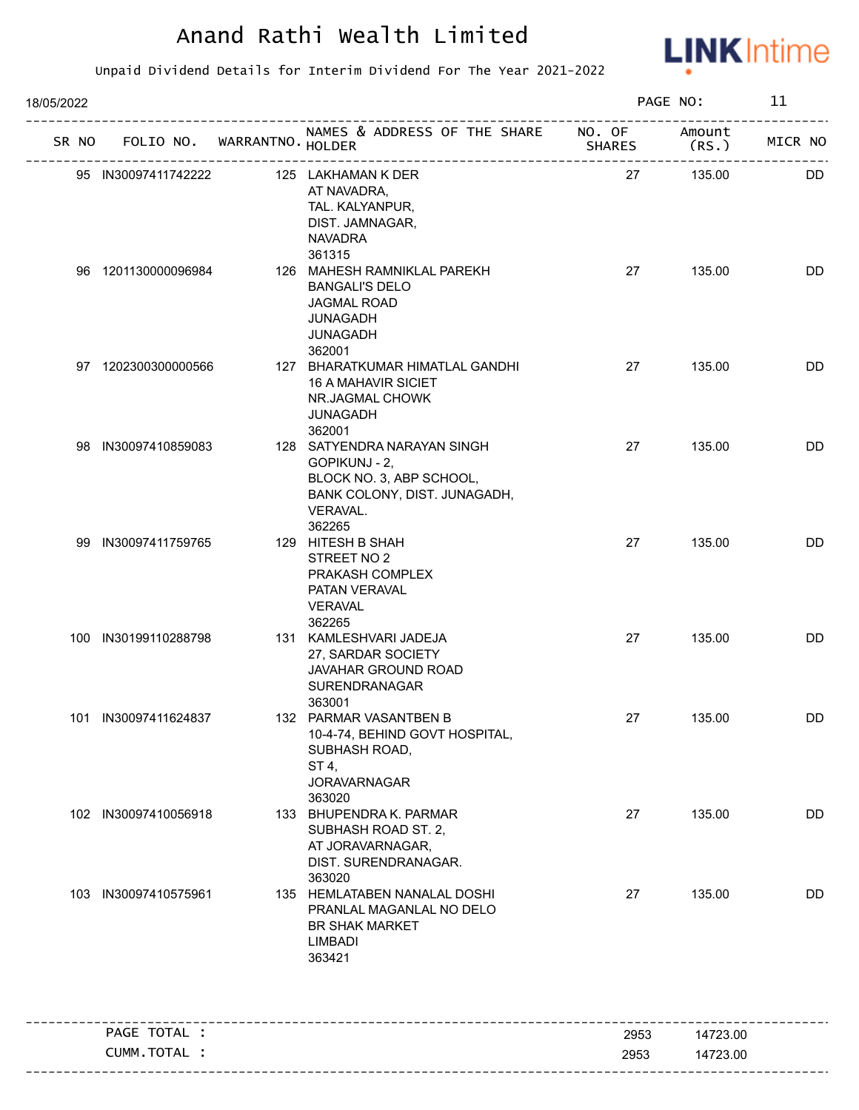

| 18/05/2022 |                      |                                   |                                                                                                                                      |        | PAGE NO:       | 11        |
|------------|----------------------|-----------------------------------|--------------------------------------------------------------------------------------------------------------------------------------|--------|----------------|-----------|
|            |                      | SR NO FOLIO NO. WARRANTNO. HOLDER | NAMES & ADDRESS OF THE SHARE NO. OF                                                                                                  | SHARES | Amount<br>(RS. | MICR NO   |
|            | 95 IN30097411742222  |                                   | 125 LAKHAMAN K DER<br>AT NAVADRA,<br>TAL. KALYANPUR,<br>DIST. JAMNAGAR,<br><b>NAVADRA</b>                                            | 27     | 135.00         | <b>DD</b> |
|            | 96 1201130000096984  |                                   | 361315<br>126 MAHESH RAMNIKLAL PAREKH<br><b>BANGALI'S DELO</b><br><b>JAGMAL ROAD</b><br><b>JUNAGADH</b><br><b>JUNAGADH</b><br>362001 | 27     | 135.00         | DD        |
|            | 97 1202300300000566  |                                   | 127 BHARATKUMAR HIMATLAL GANDHI<br><b>16 A MAHAVIR SICIET</b><br>NR.JAGMAL CHOWK<br><b>JUNAGADH</b><br>362001                        | 27     | 135.00         | DD        |
|            | 98 IN30097410859083  |                                   | 128 SATYENDRA NARAYAN SINGH<br>GOPIKUNJ - 2,<br>BLOCK NO. 3, ABP SCHOOL,<br>BANK COLONY, DIST. JUNAGADH,<br>VERAVAL.<br>362265       | 27     | 135.00         | DD        |
|            | 99 IN30097411759765  |                                   | 129 HITESH B SHAH<br>STREET NO 2<br>PRAKASH COMPLEX<br>PATAN VERAVAL<br><b>VERAVAL</b><br>362265                                     | 27     | 135.00         | DD        |
|            | 100 IN30199110288798 |                                   | 131 KAMLESHVARI JADEJA<br>27, SARDAR SOCIETY<br>JAVAHAR GROUND ROAD<br>SURENDRANAGAR<br>363001                                       | 27     | 135.00         | <b>DD</b> |
|            | 101 IN30097411624837 |                                   | 132 PARMAR VASANTBEN B<br>10-4-74, BEHIND GOVT HOSPITAL,<br>SUBHASH ROAD,<br>ST 4,<br><b>JORAVARNAGAR</b><br>363020                  | 27     | 135.00         | DD        |
|            | 102 IN30097410056918 |                                   | 133 BHUPENDRA K. PARMAR<br>SUBHASH ROAD ST. 2,<br>AT JORAVARNAGAR,<br>DIST. SURENDRANAGAR.<br>363020                                 | 27     | 135.00         | <b>DD</b> |
| 103        | IN30097410575961     |                                   | 135 HEMLATABEN NANALAL DOSHI<br>PRANLAL MAGANLAL NO DELO<br>BR SHAK MARKET<br><b>LIMBADI</b><br>363421                               | 27     | 135.00         | DD        |
|            | PAGE TOTAL :         |                                   |                                                                                                                                      | 2953   | 14723.00       |           |
|            | CUMM.TOTAL :         |                                   |                                                                                                                                      | 2953   | 14723.00       |           |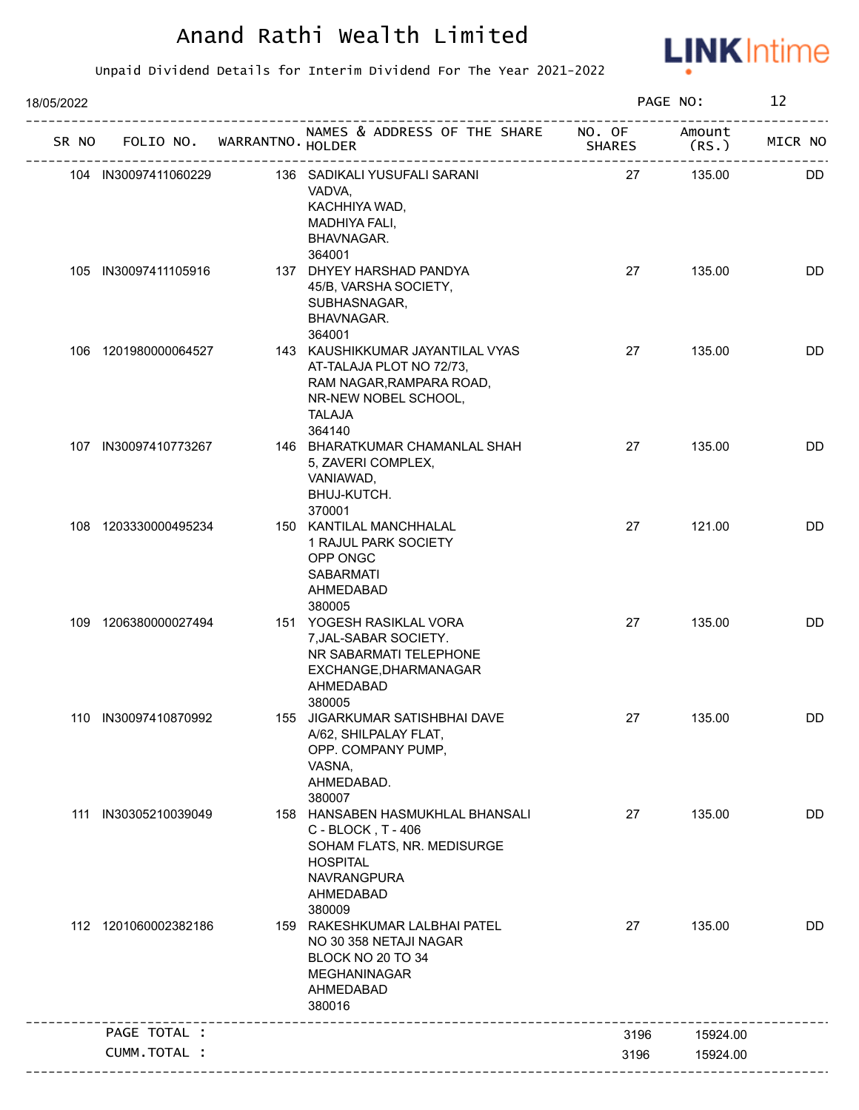

| 18/05/2022 |                      |                             |                                                                                                                                               |               | PAGE NO:        | 12        |
|------------|----------------------|-----------------------------|-----------------------------------------------------------------------------------------------------------------------------------------------|---------------|-----------------|-----------|
| SR NO      |                      | FOLIO NO. WARRANTNO. HOLDER | NAMES & ADDRESS OF THE SHARE NO. OF                                                                                                           | <b>SHARES</b> | Amount<br>(RS.) | MICR NO   |
|            | 104 IN30097411060229 |                             | 136 SADIKALI YUSUFALI SARANI<br>VADVA,<br>KACHHIYA WAD,<br>MADHIYA FALI,<br>BHAVNAGAR.<br>364001                                              | 27            | 135.00          | <b>DD</b> |
|            | 105 IN30097411105916 |                             | 137 DHYEY HARSHAD PANDYA<br>45/B, VARSHA SOCIETY,<br>SUBHASNAGAR,<br>BHAVNAGAR.<br>364001                                                     | 27            | 135.00          | <b>DD</b> |
|            | 106 1201980000064527 |                             | 143 KAUSHIKKUMAR JAYANTILAL VYAS<br>AT-TALAJA PLOT NO 72/73,<br>RAM NAGAR, RAMPARA ROAD,<br>NR-NEW NOBEL SCHOOL,<br><b>TALAJA</b><br>364140   | 27            | 135.00          | DD        |
|            | 107 IN30097410773267 |                             | 146 BHARATKUMAR CHAMANLAL SHAH<br>5, ZAVERI COMPLEX,<br>VANIAWAD,<br>BHUJ-KUTCH.<br>370001                                                    | 27            | 135.00          | DD        |
|            | 108 1203330000495234 |                             | 150 KANTILAL MANCHHALAL<br>1 RAJUL PARK SOCIETY<br>OPP ONGC<br><b>SABARMATI</b><br>AHMEDABAD<br>380005                                        | 27            | 121.00          | DD        |
|            | 109 1206380000027494 |                             | 151 YOGESH RASIKLAL VORA<br>7, JAL-SABAR SOCIETY.<br>NR SABARMATI TELEPHONE<br>EXCHANGE, DHARMANAGAR<br>AHMEDABAD<br>380005                   | 27            | 135.00          | <b>DD</b> |
|            | 110 IN30097410870992 |                             | 155 JIGARKUMAR SATISHBHAI DAVE<br>A/62, SHILPALAY FLAT,<br>OPP. COMPANY PUMP,<br>VASNA,<br>AHMEDABAD.<br>380007                               | 27            | 135.00          | DD        |
| 111        | IN30305210039049     |                             | 158 HANSABEN HASMUKHLAL BHANSALI<br>C - BLOCK, T - 406<br>SOHAM FLATS, NR. MEDISURGE<br><b>HOSPITAL</b><br>NAVRANGPURA<br>AHMEDABAD<br>380009 | 27            | 135.00          | DD        |
|            | 112 1201060002382186 |                             | 159 RAKESHKUMAR LALBHAI PATEL<br>NO 30 358 NETAJI NAGAR<br>BLOCK NO 20 TO 34<br><b>MEGHANINAGAR</b><br>AHMEDABAD<br>380016                    | 27            | 135.00          | DD        |
|            | PAGE TOTAL :         |                             |                                                                                                                                               | 3196          | 15924.00        |           |
|            | CUMM.TOTAL :         |                             |                                                                                                                                               | 3196          | 15924.00        |           |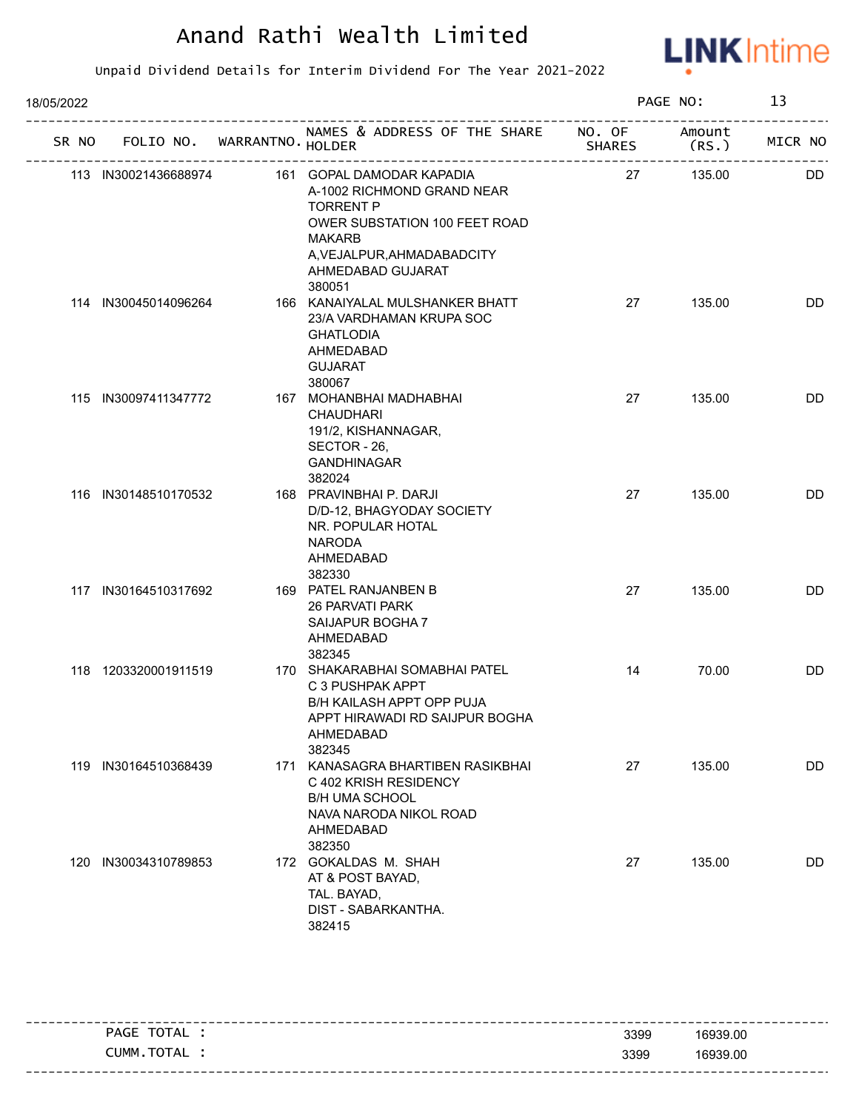

| 18/05/2022 |     |                      |                             |                                                                                                                                                                                            |               | PAGE NO:       | 13        |
|------------|-----|----------------------|-----------------------------|--------------------------------------------------------------------------------------------------------------------------------------------------------------------------------------------|---------------|----------------|-----------|
| SR NO      |     |                      | FOLIO NO. WARRANTNO. HOLDER | NAMES & ADDRESS OF THE SHARE NO. OF                                                                                                                                                        | <b>SHARES</b> | Amount<br>(RS. | MICR NO   |
|            |     | 113 IN30021436688974 |                             | 161 GOPAL DAMODAR KAPADIA<br>A-1002 RICHMOND GRAND NEAR<br><b>TORRENT P</b><br>OWER SUBSTATION 100 FEET ROAD<br><b>MAKARB</b><br>A, VEJALPUR, AHMADABADCITY<br>AHMEDABAD GUJARAT<br>380051 | 27            | 135.00         | <b>DD</b> |
|            |     | 114 IN30045014096264 |                             | 166 KANAIYALAL MULSHANKER BHATT<br>23/A VARDHAMAN KRUPA SOC<br><b>GHATLODIA</b><br>AHMEDABAD<br><b>GUJARAT</b><br>380067                                                                   | 27            | 135.00         | DD        |
|            |     | 115 IN30097411347772 |                             | 167 MOHANBHAI MADHABHAI<br><b>CHAUDHARI</b><br>191/2, KISHANNAGAR,<br>SECTOR - 26,<br><b>GANDHINAGAR</b><br>382024                                                                         | 27            | 135.00         | DD        |
|            |     | 116 IN30148510170532 |                             | 168 PRAVINBHAI P. DARJI<br>D/D-12, BHAGYODAY SOCIETY<br>NR. POPULAR HOTAL<br><b>NARODA</b><br>AHMEDABAD<br>382330                                                                          | 27            | 135.00         | DD        |
|            |     | 117 IN30164510317692 |                             | 169 PATEL RANJANBEN B<br>26 PARVATI PARK<br>SAIJAPUR BOGHA 7<br>AHMEDABAD<br>382345                                                                                                        | 27            | 135.00         | DD        |
|            |     | 118 1203320001911519 |                             | 170 SHAKARABHAI SOMABHAI PATEL<br>C 3 PUSHPAK APPT<br>B/H KAILASH APPT OPP PUJA<br>APPT HIRAWADI RD SAIJPUR BOGHA<br>AHMEDABAD<br>382345                                                   | 14            | 70.00          | DD        |
|            | 119 | IN30164510368439     |                             | 171 KANASAGRA BHARTIBEN RASIKBHAI<br>C 402 KRISH RESIDENCY<br><b>B/H UMA SCHOOL</b><br>NAVA NARODA NIKOL ROAD<br>AHMEDABAD<br>382350                                                       | 27            | 135.00         | DD        |
|            | 120 | IN30034310789853     |                             | 172 GOKALDAS M. SHAH<br>AT & POST BAYAD,<br>TAL. BAYAD,<br>DIST - SABARKANTHA.<br>382415                                                                                                   | 27            | 135.00         | DD        |

| TOTAL<br>PAGE | 3399 | 16939.00 |
|---------------|------|----------|
| CUMM.TOTAL    | 3399 | 16939.00 |
|               |      |          |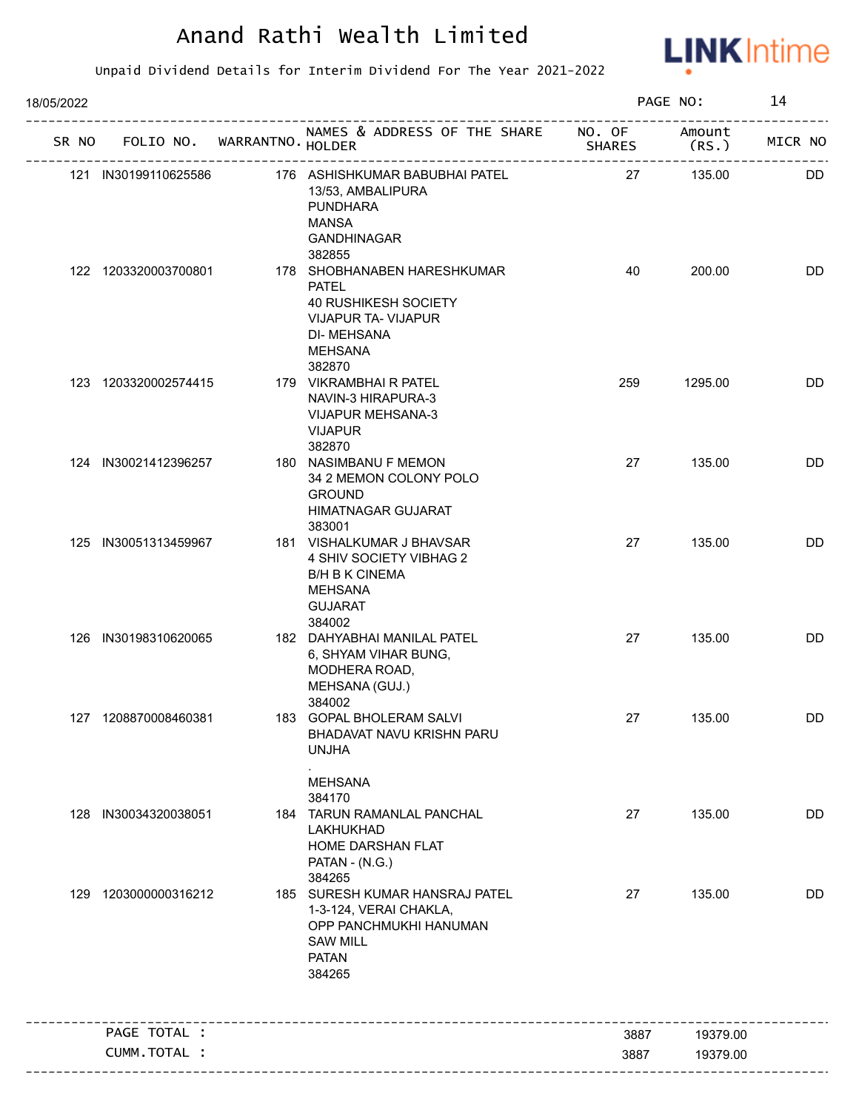

| 18/05/2022 |                      |                                   |                                                                                                                                                       |               | PAGE NO:       | 14        |
|------------|----------------------|-----------------------------------|-------------------------------------------------------------------------------------------------------------------------------------------------------|---------------|----------------|-----------|
|            |                      | SR NO FOLIO NO. WARRANTNO. HOLDER | NAMES & ADDRESS OF THE SHARE NO. OF                                                                                                                   | <b>SHARES</b> | Amount<br>(RS. | MICR NO   |
|            | 121 IN30199110625586 |                                   | 176 ASHISHKUMAR BABUBHAI PATEL<br>13/53, AMBALIPURA<br><b>PUNDHARA</b><br><b>MANSA</b><br><b>GANDHINAGAR</b>                                          | 27            | 135.00         | <b>DD</b> |
|            | 122 1203320003700801 |                                   | 382855<br>178 SHOBHANABEN HARESHKUMAR<br><b>PATEL</b><br>40 RUSHIKESH SOCIETY<br><b>VIJAPUR TA- VIJAPUR</b><br><b>DI-MEHSANA</b><br>MEHSANA<br>382870 | 40            | 200.00         | DD        |
|            | 123 1203320002574415 |                                   | 179 VIKRAMBHAI R PATEL<br>NAVIN-3 HIRAPURA-3<br><b>VIJAPUR MEHSANA-3</b><br><b>VIJAPUR</b><br>382870                                                  | 259           | 1295.00        | DD        |
|            | 124 IN30021412396257 |                                   | 180 NASIMBANU F MEMON<br>34 2 MEMON COLONY POLO<br><b>GROUND</b><br>HIMATNAGAR GUJARAT<br>383001                                                      | 27            | 135.00         | <b>DD</b> |
|            | 125 IN30051313459967 |                                   | 181 VISHALKUMAR J BHAVSAR<br>4 SHIV SOCIETY VIBHAG 2<br><b>B/H B K CINEMA</b><br>MEHSANA<br><b>GUJARAT</b><br>384002                                  | 27            | 135.00         | DD        |
|            | 126 IN30198310620065 |                                   | 182 DAHYABHAI MANILAL PATEL<br>6, SHYAM VIHAR BUNG,<br>MODHERA ROAD,<br>MEHSANA (GUJ.)<br>384002                                                      | 27            | 135.00         | <b>DD</b> |
|            | 127 1208870008460381 |                                   | 183 GOPAL BHOLERAM SALVI<br>BHADAVAT NAVU KRISHN PARU<br><b>UNJHA</b><br><b>MEHSANA</b>                                                               | 27            | 135.00         | DD        |
| 128        | IN30034320038051     |                                   | 384170<br>184 TARUN RAMANLAL PANCHAL<br>LAKHUKHAD<br>HOME DARSHAN FLAT<br>PATAN - (N.G.)<br>384265                                                    | 27            | 135.00         | <b>DD</b> |
| 129        | 1203000000316212     |                                   | 185 SURESH KUMAR HANSRAJ PATEL<br>1-3-124, VERAI CHAKLA,<br>OPP PANCHMUKHI HANUMAN<br><b>SAW MILL</b><br><b>PATAN</b><br>384265                       | 27            | 135.00         | DD        |
|            | PAGE TOTAL :         |                                   |                                                                                                                                                       | 3887          | 19379.00       |           |
|            | CUMM. TOTAL :        |                                   |                                                                                                                                                       | 3887          | 19379.00       |           |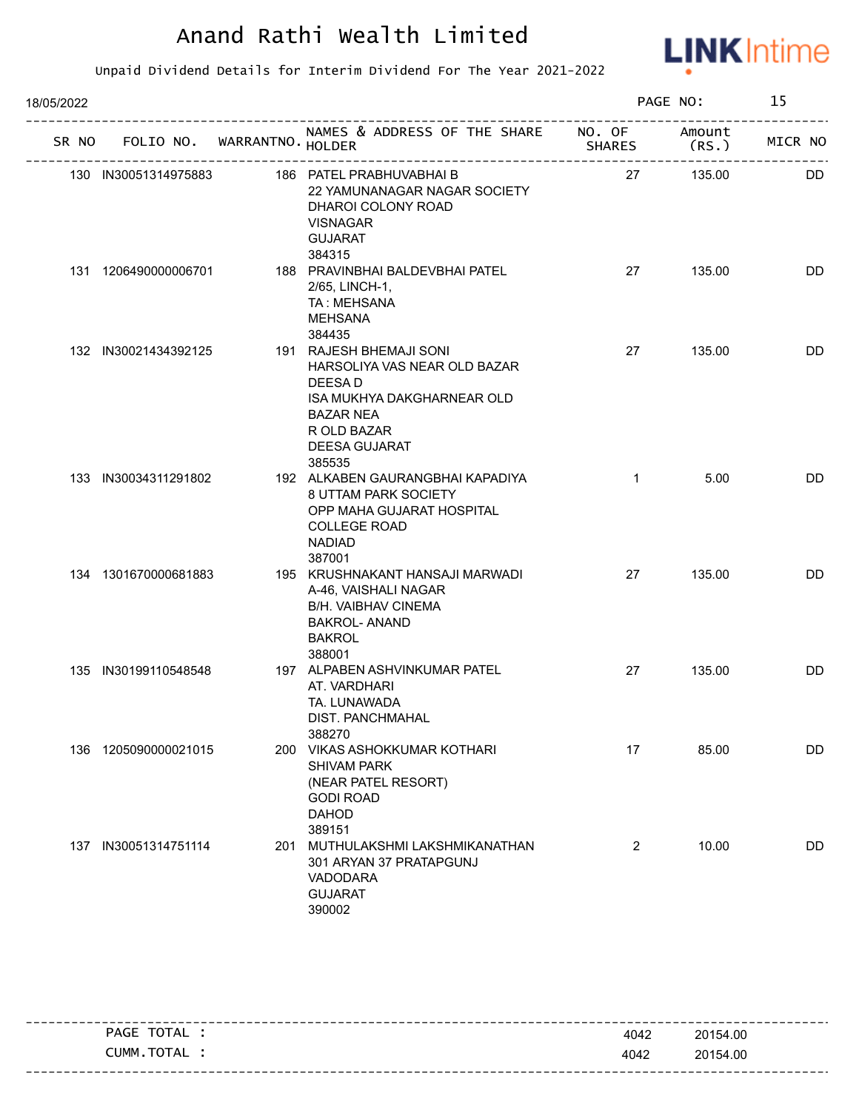

| 18/05/2022 |     |                      |                                   |                                                                                                                                                                |                | PAGE NO: | 15        |
|------------|-----|----------------------|-----------------------------------|----------------------------------------------------------------------------------------------------------------------------------------------------------------|----------------|----------|-----------|
|            |     |                      | SR NO FOLIO NO. WARRANTNO. HOLDER | NAMES & ADDRESS OF THE SHARE NO. OF                                                                                                                            |                | Amount   | MICR NO   |
|            |     | 130 IN30051314975883 |                                   | 186 PATEL PRABHUVABHAI B<br>22 YAMUNANAGAR NAGAR SOCIETY<br>DHAROI COLONY ROAD<br><b>VISNAGAR</b><br><b>GUJARAT</b><br>384315                                  | 27             | 135.00   | <b>DD</b> |
|            |     | 131 1206490000006701 |                                   | 188 PRAVINBHAI BALDEVBHAI PATEL<br>2/65, LINCH-1,<br>TA: MEHSANA<br><b>MEHSANA</b><br>384435                                                                   | 27             | 135.00   | DD        |
|            |     | 132 IN30021434392125 |                                   | 191 RAJESH BHEMAJI SONI<br>HARSOLIYA VAS NEAR OLD BAZAR<br>DEESA D<br>ISA MUKHYA DAKGHARNEAR OLD<br><b>BAZAR NEA</b><br>R OLD BAZAR<br>DEESA GUJARAT<br>385535 | 27             | 135.00   | <b>DD</b> |
|            |     | 133 IN30034311291802 |                                   | 192 ALKABEN GAURANGBHAI KAPADIYA<br>8 UTTAM PARK SOCIETY<br>OPP MAHA GUJARAT HOSPITAL<br><b>COLLEGE ROAD</b><br><b>NADIAD</b><br>387001                        | $\mathbf{1}$   | 5.00     | <b>DD</b> |
|            |     | 134 1301670000681883 |                                   | 195 KRUSHNAKANT HANSAJI MARWADI<br>A-46, VAISHALI NAGAR<br><b>B/H. VAIBHAV CINEMA</b><br><b>BAKROL- ANAND</b><br><b>BAKROL</b><br>388001                       | 27             | 135.00   | DD        |
|            |     | 135 IN30199110548548 |                                   | 197 ALPABEN ASHVINKUMAR PATEL<br>AT. VARDHARI<br>TA. LUNAWADA<br>DIST. PANCHMAHAL<br>388270                                                                    | 27             | 135.00   | <b>DD</b> |
|            | 136 | 1205090000021015     |                                   | 200 VIKAS ASHOKKUMAR KOTHARI<br><b>SHIVAM PARK</b><br>(NEAR PATEL RESORT)<br><b>GODI ROAD</b><br><b>DAHOD</b><br>389151                                        | 17             | 85.00    | DD        |
|            |     | 137 IN30051314751114 | 201                               | MUTHULAKSHMI LAKSHMIKANATHAN<br>301 ARYAN 37 PRATAPGUNJ<br>VADODARA<br><b>GUJARAT</b><br>390002                                                                | $\overline{2}$ | 10.00    | DD        |

| TOTAL<br>PAGE                    | 4042 | 20154.00 |
|----------------------------------|------|----------|
| <b>TOTA</b><br>CUMM<br><b>AL</b> | 4042 | 20154.00 |
|                                  |      |          |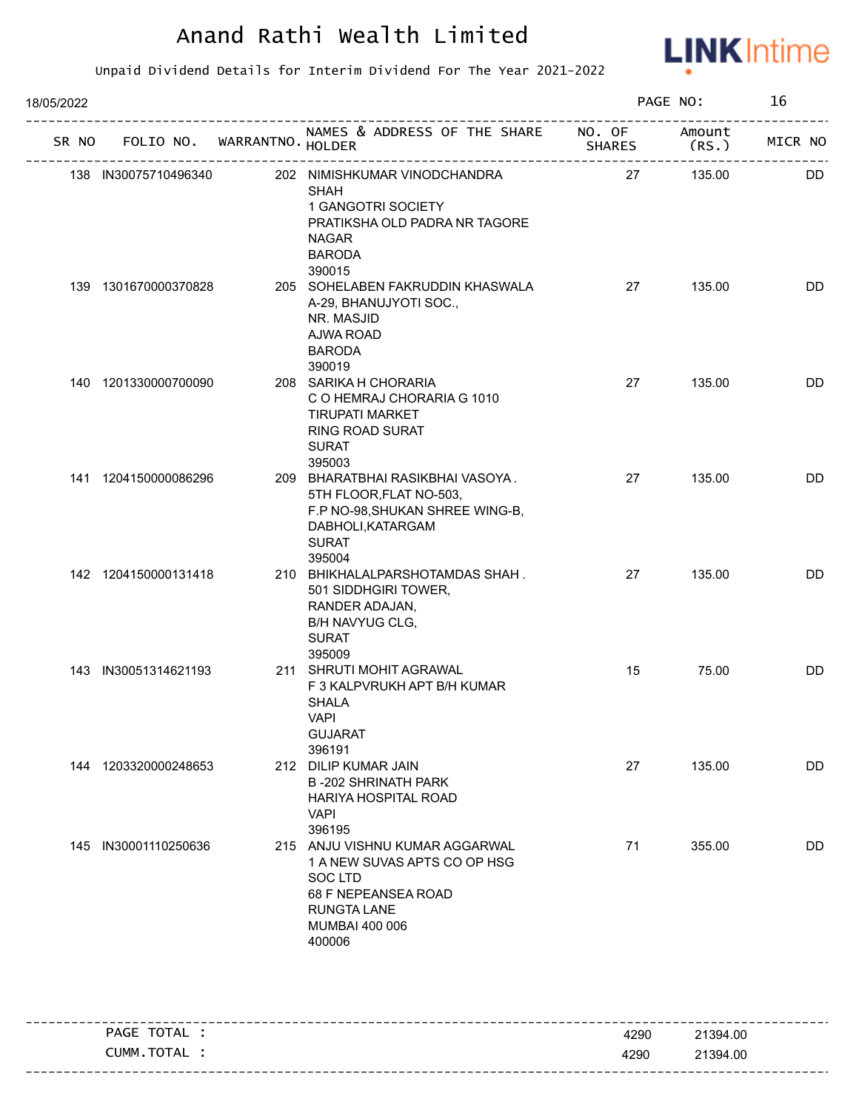

| 18/05/2022 |                      |                                   |                                                                                                                                                           |               | PAGE NO:       | 16        |
|------------|----------------------|-----------------------------------|-----------------------------------------------------------------------------------------------------------------------------------------------------------|---------------|----------------|-----------|
|            |                      | SR NO FOLIO NO. WARRANTNO. HOLDER | NAMES & ADDRESS OF THE SHARE NO. OF                                                                                                                       | <b>SHARES</b> | Amount<br>(RS. | MICR NO   |
|            | 138 IN30075710496340 |                                   | 202 NIMISHKUMAR VINODCHANDRA<br><b>SHAH</b><br>1 GANGOTRI SOCIETY<br>PRATIKSHA OLD PADRA NR TAGORE<br><b>NAGAR</b><br><b>BARODA</b><br>390015             | 27            | 135.00         | <b>DD</b> |
|            | 139 1301670000370828 |                                   | 205 SOHELABEN FAKRUDDIN KHASWALA<br>A-29, BHANUJYOTI SOC.,<br>NR. MASJID<br>AJWA ROAD<br><b>BARODA</b><br>390019                                          | 27            | 135.00         | DD        |
|            | 140 1201330000700090 |                                   | 208 SARIKA H CHORARIA<br>C O HEMRAJ CHORARIA G 1010<br><b>TIRUPATI MARKET</b><br>RING ROAD SURAT<br><b>SURAT</b><br>395003                                | 27            | 135.00         | DD        |
|            | 141 1204150000086296 |                                   | 209 BHARATBHAI RASIKBHAI VASOYA.<br>5TH FLOOR, FLAT NO-503,<br>F.P NO-98, SHUKAN SHREE WING-B,<br>DABHOLI, KATARGAM<br><b>SURAT</b><br>395004             | 27            | 135.00         | DD        |
|            | 142 1204150000131418 |                                   | 210 BHIKHALALPARSHOTAMDAS SHAH.<br>501 SIDDHGIRI TOWER,<br>RANDER ADAJAN,<br>B/H NAVYUG CLG,<br><b>SURAT</b><br>395009                                    | 27            | 135.00         | <b>DD</b> |
|            | 143 IN30051314621193 |                                   | 211 SHRUTI MOHIT AGRAWAL<br>F 3 KALPVRUKH APT B/H KUMAR<br><b>SHALA</b><br><b>VAPI</b><br><b>GUJARAT</b><br>396191                                        | 15            | 75.00          | <b>DD</b> |
|            | 144 1203320000248653 |                                   | 212 DILIP KUMAR JAIN<br><b>B-202 SHRINATH PARK</b><br>HARIYA HOSPITAL ROAD<br><b>VAPI</b><br>396195                                                       | 27            | 135.00         | DD        |
|            | 145 IN30001110250636 |                                   | 215 ANJU VISHNU KUMAR AGGARWAL<br>1 A NEW SUVAS APTS CO OP HSG<br><b>SOC LTD</b><br>68 F NEPEANSEA ROAD<br><b>RUNGTA LANE</b><br>MUMBAI 400 006<br>400006 | 71            | 355.00         | DD        |

| PAGE TOTAL . | 4290 | 21394.00 |
|--------------|------|----------|
| CUMM.TOTAL : | 4290 | 21394.00 |
|              |      |          |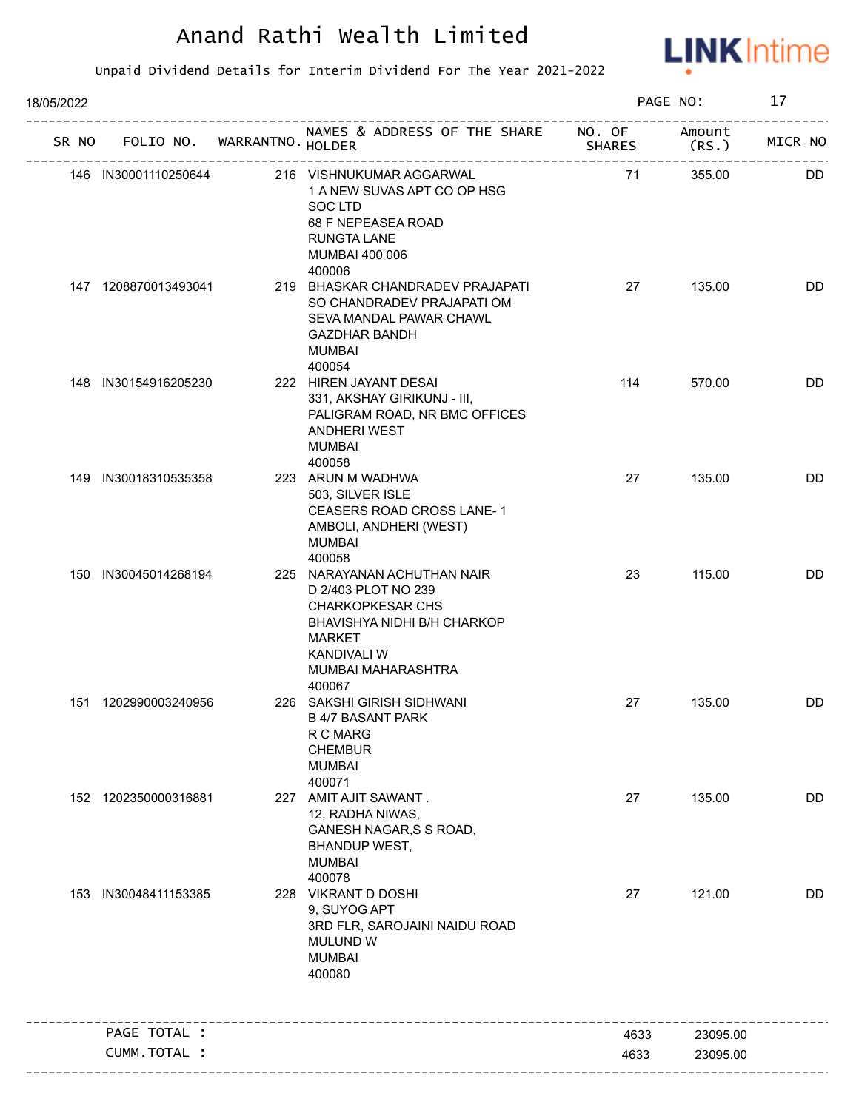

| 18/05/2022 |                      |                                   |                                                                                                                                                                                     |               | PAGE NO:       | 17        |
|------------|----------------------|-----------------------------------|-------------------------------------------------------------------------------------------------------------------------------------------------------------------------------------|---------------|----------------|-----------|
|            |                      | SR NO FOLIO NO. WARRANTNO. HOLDER | NAMES & ADDRESS OF THE SHARE NO. OF                                                                                                                                                 | <b>SHARES</b> | Amount<br>(RS. | MICR NO   |
|            | 146 IN30001110250644 |                                   | 216 VISHNUKUMAR AGGARWAL<br>1 A NEW SUVAS APT CO OP HSG<br>SOC LTD<br>68 F NEPEASEA ROAD<br><b>RUNGTA LANE</b><br>MUMBAI 400 006<br>400006                                          | 71            | 355.00         | <b>DD</b> |
|            | 147 1208870013493041 |                                   | 219 BHASKAR CHANDRADEV PRAJAPATI<br>SO CHANDRADEV PRAJAPATI OM<br>SEVA MANDAL PAWAR CHAWL<br><b>GAZDHAR BANDH</b><br><b>MUMBAI</b><br>400054                                        | 27            | 135.00         | <b>DD</b> |
|            | 148 IN30154916205230 |                                   | 222 HIREN JAYANT DESAI<br>331, AKSHAY GIRIKUNJ - III,<br>PALIGRAM ROAD, NR BMC OFFICES<br>ANDHERI WEST<br><b>MUMBAI</b><br>400058                                                   | 114           | 570.00         | <b>DD</b> |
|            | 149 IN30018310535358 |                                   | 223 ARUN M WADHWA<br>503, SILVER ISLE<br>CEASERS ROAD CROSS LANE-1<br>AMBOLI, ANDHERI (WEST)<br><b>MUMBAI</b><br>400058                                                             | 27            | 135.00         | <b>DD</b> |
|            | 150 IN30045014268194 |                                   | 225 NARAYANAN ACHUTHAN NAIR<br>D 2/403 PLOT NO 239<br><b>CHARKOPKESAR CHS</b><br>BHAVISHYA NIDHI B/H CHARKOP<br><b>MARKET</b><br><b>KANDIVALI W</b><br>MUMBAI MAHARASHTRA<br>400067 | 23            | 115.00         | <b>DD</b> |
|            | 151 1202990003240956 |                                   | 226 SAKSHI GIRISH SIDHWANI<br><b>B 4/7 BASANT PARK</b><br>R C MARG<br><b>CHEMBUR</b><br><b>MUMBAI</b><br>400071                                                                     | 27            | 135.00         | DD        |
|            | 152 1202350000316881 |                                   | 227 AMIT AJIT SAWANT.<br>12, RADHA NIWAS,<br><b>GANESH NAGAR, S S ROAD,</b><br><b>BHANDUP WEST,</b><br><b>MUMBAI</b><br>400078                                                      | 27            | 135.00         | <b>DD</b> |
|            | 153 IN30048411153385 |                                   | 228 VIKRANT D DOSHI<br>9, SUYOG APT<br>3RD FLR, SAROJAINI NAIDU ROAD<br><b>MULUND W</b><br><b>MUMBAI</b><br>400080                                                                  | 27            | 121.00         | DD        |
|            | PAGE TOTAL :         |                                   |                                                                                                                                                                                     | 4633          | 23095.00       |           |
|            | CUMM.TOTAL :         |                                   |                                                                                                                                                                                     | 4633          | 23095.00       |           |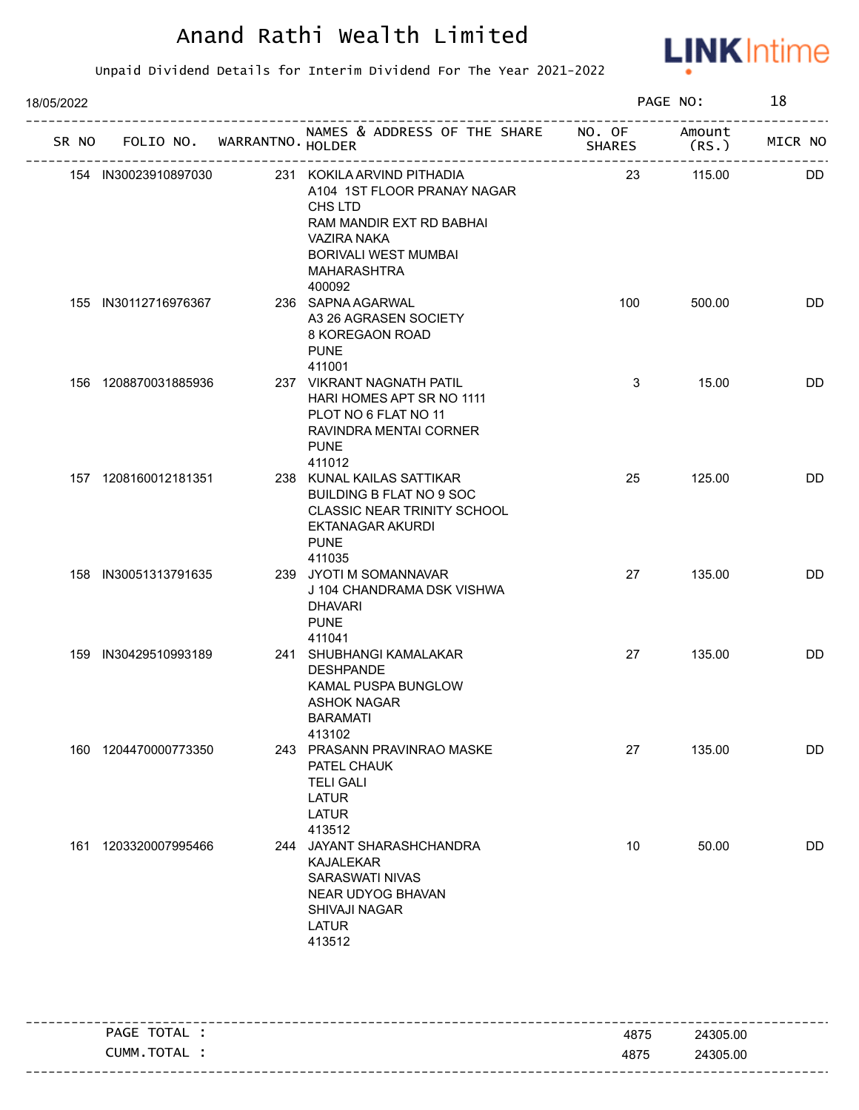

| 18/05/2022 |                      |                             |                                                                                                                                                                         |               | PAGE NO:         | 18        |
|------------|----------------------|-----------------------------|-------------------------------------------------------------------------------------------------------------------------------------------------------------------------|---------------|------------------|-----------|
| SR NO      |                      | FOLIO NO. WARRANTNO. HOLDER | NAMES & ADDRESS OF THE SHARE NO. OF                                                                                                                                     | <b>SHARES</b> | Amount<br>(RS. ) | MICR NO   |
|            | 154 IN30023910897030 |                             | 231 KOKILA ARVIND PITHADIA<br>A104 1ST FLOOR PRANAY NAGAR<br>CHS LTD<br>RAM MANDIR EXT RD BABHAI<br>VAZIRA NAKA<br><b>BORIVALI WEST MUMBAI</b><br>MAHARASHTRA<br>400092 | 23            | 115.00           | DD.       |
|            | 155 IN30112716976367 |                             | 236 SAPNA AGARWAL<br>A3 26 AGRASEN SOCIETY<br>8 KOREGAON ROAD<br><b>PUNE</b><br>411001                                                                                  | 100           | 500.00           | DD        |
|            | 156 1208870031885936 |                             | 237 VIKRANT NAGNATH PATIL<br>HARI HOMES APT SR NO 1111<br>PLOT NO 6 FLAT NO 11<br>RAVINDRA MENTAI CORNER<br><b>PUNE</b><br>411012                                       | 3             | 15.00            | <b>DD</b> |
|            | 157 1208160012181351 |                             | 238 KUNAL KAILAS SATTIKAR<br>BUILDING B FLAT NO 9 SOC<br><b>CLASSIC NEAR TRINITY SCHOOL</b><br>EKTANAGAR AKURDI<br><b>PUNE</b><br>411035                                | 25            | 125.00           | <b>DD</b> |
|            | 158 IN30051313791635 |                             | 239 JYOTI M SOMANNAVAR<br>J 104 CHANDRAMA DSK VISHWA<br><b>DHAVARI</b><br><b>PUNE</b><br>411041                                                                         | 27            | 135.00           | <b>DD</b> |
|            | 159 IN30429510993189 |                             | 241 SHUBHANGI KAMALAKAR<br><b>DESHPANDE</b><br><b>KAMAL PUSPA BUNGLOW</b><br><b>ASHOK NAGAR</b><br><b>BARAMATI</b><br>413102                                            | 27            | 135.00           | <b>DD</b> |
|            | 160 1204470000773350 |                             | 243 PRASANN PRAVINRAO MASKE<br>PATEL CHAUK<br><b>TELI GALI</b><br><b>LATUR</b><br><b>LATUR</b><br>413512                                                                | 27            | 135.00           | DD        |
|            | 161 1203320007995466 |                             | 244 JAYANT SHARASHCHANDRA<br><b>KAJALEKAR</b><br><b>SARASWATI NIVAS</b><br>NEAR UDYOG BHAVAN<br>SHIVAJI NAGAR<br><b>LATUR</b><br>413512                                 | 10            | 50.00            | DD        |

| PAGE TOTAL | 4875 | 24305.00 |
|------------|------|----------|
| CUMM.TOTAL | 4875 | 24305.00 |
|            |      |          |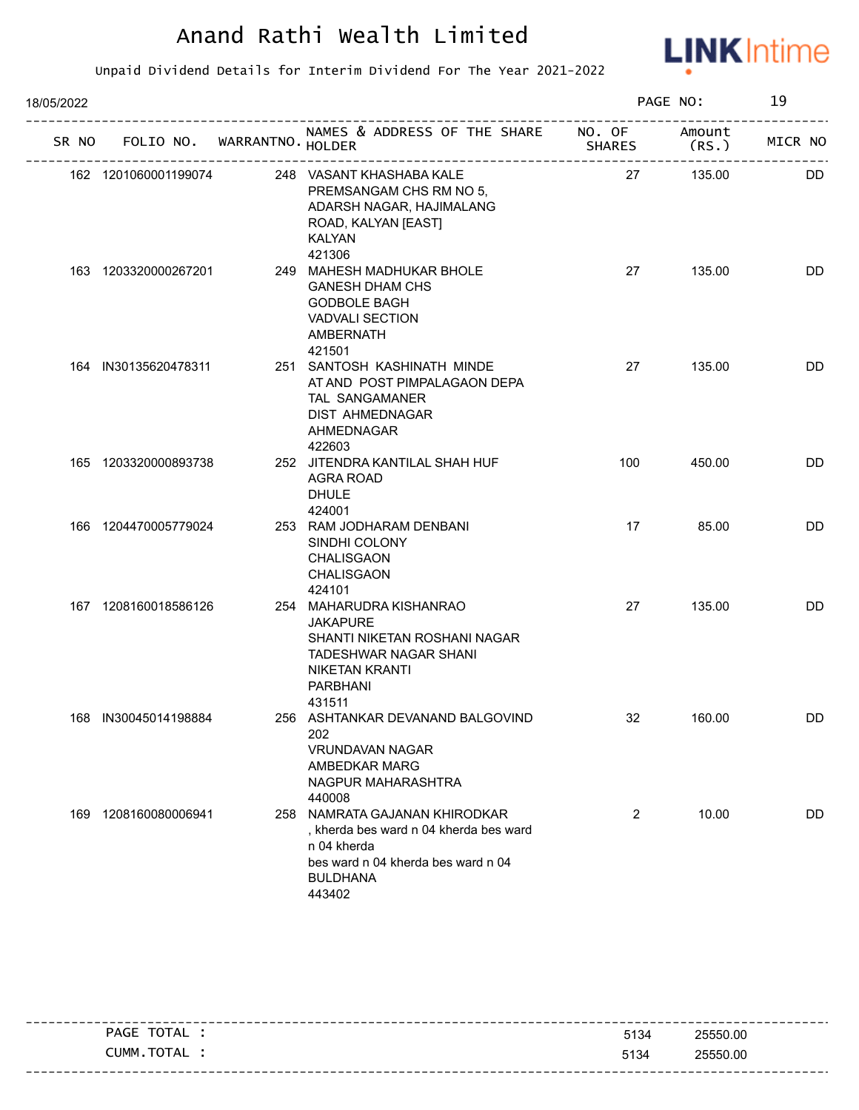

| 18/05/2022 |                      |                             |                                                                                                                                                                  |     | PAGE NO: | 19        |
|------------|----------------------|-----------------------------|------------------------------------------------------------------------------------------------------------------------------------------------------------------|-----|----------|-----------|
| SR NO      |                      | FOLIO NO. WARRANTNO. HOLDER | NAMES & ADDRESS OF THE SHARE NO. OF                                                                                                                              |     | Amount   | MICR NO   |
|            | 162 1201060001199074 |                             | 248 VASANT KHASHABA KALE<br>PREMSANGAM CHS RM NO 5,<br>ADARSH NAGAR, HAJIMALANG<br>ROAD, KALYAN [EAST]<br><b>KALYAN</b><br>421306                                | 27  | 135.00   | <b>DD</b> |
|            | 163 1203320000267201 |                             | 249 MAHESH MADHUKAR BHOLE<br><b>GANESH DHAM CHS</b><br><b>GODBOLE BAGH</b><br><b>VADVALI SECTION</b><br>AMBERNATH<br>421501                                      | 27  | 135.00   | DD        |
|            | 164 IN30135620478311 |                             | 251 SANTOSH KASHINATH MINDE<br>AT AND POST PIMPALAGAON DEPA<br><b>TAL SANGAMANER</b><br>DIST AHMEDNAGAR<br>AHMEDNAGAR<br>422603                                  | 27  | 135.00   | DD        |
|            | 165 1203320000893738 |                             | 252 JITENDRA KANTILAL SHAH HUF<br>AGRA ROAD<br><b>DHULE</b><br>424001                                                                                            | 100 | 450.00   | <b>DD</b> |
|            | 166 1204470005779024 |                             | 253 RAM JODHARAM DENBANI<br>SINDHI COLONY<br>CHALISGAON<br>CHALISGAON<br>424101                                                                                  | 17  | 85.00    | DD        |
|            | 167 1208160018586126 |                             | 254 MAHARUDRA KISHANRAO<br><b>JAKAPURE</b><br>SHANTI NIKETAN ROSHANI NAGAR<br><b>TADESHWAR NAGAR SHANI</b><br><b>NIKETAN KRANTI</b><br><b>PARBHANI</b><br>431511 | 27  | 135.00   | DD        |
|            | 168 IN30045014198884 |                             | 256 ASHTANKAR DEVANAND BALGOVIND<br>202<br><b>VRUNDAVAN NAGAR</b><br>AMBEDKAR MARG<br>NAGPUR MAHARASHTRA<br>440008                                               | 32  | 160.00   | DD.       |
|            | 169 1208160080006941 | 258                         | NAMRATA GAJANAN KHIRODKAR<br>, kherda bes ward n 04 kherda bes ward<br>n 04 kherda<br>bes ward n 04 kherda bes ward n 04<br><b>BULDHANA</b><br>443402            | 2   | 10.00    | DD        |

| TOTAL<br><b>PAGE</b> | 5134 | 25550.00 |
|----------------------|------|----------|
| TOTAL<br>CUMM        | 5134 | 25550.00 |
|                      |      |          |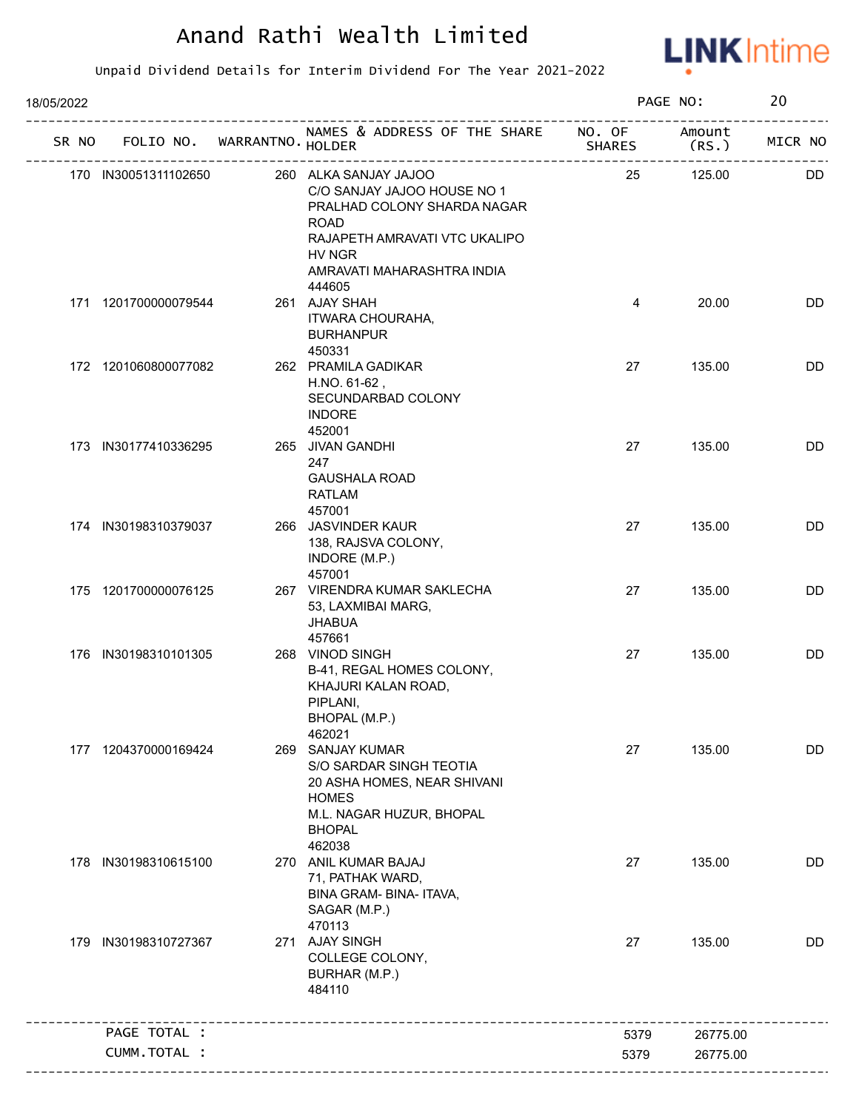

| 18/05/2022 |                      |                                   |                                                                                                                                                                             |               | PAGE NO:        | 20        |
|------------|----------------------|-----------------------------------|-----------------------------------------------------------------------------------------------------------------------------------------------------------------------------|---------------|-----------------|-----------|
|            |                      | SR NO FOLIO NO. WARRANTNO. HOLDER | NAMES & ADDRESS OF THE SHARE NO. OF<br>5HA<br>-------------------------------                                                                                               | <b>SHARES</b> | Amount<br>(RS.) | MICR NO   |
|            | 170 IN30051311102650 |                                   | 260 ALKA SANJAY JAJOO<br>C/O SANJAY JAJOO HOUSE NO 1<br>PRALHAD COLONY SHARDA NAGAR<br><b>ROAD</b><br>RAJAPETH AMRAVATI VTC UKALIPO<br>HV NGR<br>AMRAVATI MAHARASHTRA INDIA | 25            | 125.00          | DD.       |
|            | 171 1201700000079544 |                                   | 444605<br>261 AJAY SHAH<br>ITWARA CHOURAHA,<br><b>BURHANPUR</b><br>450331                                                                                                   | 4             | 20.00           | <b>DD</b> |
|            | 172 1201060800077082 |                                   | 262 PRAMILA GADIKAR<br>H.NO. 61-62,<br>SECUNDARBAD COLONY<br><b>INDORE</b><br>452001                                                                                        | 27            | 135.00          | <b>DD</b> |
|            | 173 IN30177410336295 |                                   | 265 JIVAN GANDHI<br>247<br><b>GAUSHALA ROAD</b><br><b>RATLAM</b>                                                                                                            | 27            | 135.00          | DD        |
|            | 174 IN30198310379037 |                                   | 457001<br>266 JASVINDER KAUR<br>138, RAJSVA COLONY,<br>INDORE (M.P.)                                                                                                        | 27            | 135.00          | DD        |
|            | 175 1201700000076125 |                                   | 457001<br>267 VIRENDRA KUMAR SAKLECHA<br>53, LAXMIBAI MARG,<br><b>JHABUA</b><br>457661                                                                                      | 27            | 135.00          | DD        |
|            | 176 IN30198310101305 |                                   | 268 VINOD SINGH<br>B-41, REGAL HOMES COLONY,<br>KHAJURI KALAN ROAD,<br>PIPLANI,<br>BHOPAL (M.P.)<br>462021                                                                  | 27            | 135.00          | <b>DD</b> |
|            | 177 1204370000169424 |                                   | 269 SANJAY KUMAR<br>S/O SARDAR SINGH TEOTIA<br>20 ASHA HOMES, NEAR SHIVANI<br><b>HOMES</b><br>M.L. NAGAR HUZUR, BHOPAL<br><b>BHOPAL</b><br>462038                           | 27            | 135.00          | <b>DD</b> |
|            | 178 IN30198310615100 |                                   | 270 ANIL KUMAR BAJAJ<br>71, PATHAK WARD,<br>BINA GRAM- BINA- ITAVA,<br>SAGAR (M.P.)<br>470113                                                                               | 27            | 135.00          | <b>DD</b> |
|            | 179 IN30198310727367 |                                   | 271 AJAY SINGH<br>COLLEGE COLONY,<br>BURHAR (M.P.)<br>484110                                                                                                                | 27            | 135.00          | DD        |
|            | PAGE TOTAL :         |                                   |                                                                                                                                                                             | 5379          | 26775.00        |           |
|            | CUMM.TOTAL :         |                                   |                                                                                                                                                                             | 5379          | 26775.00        |           |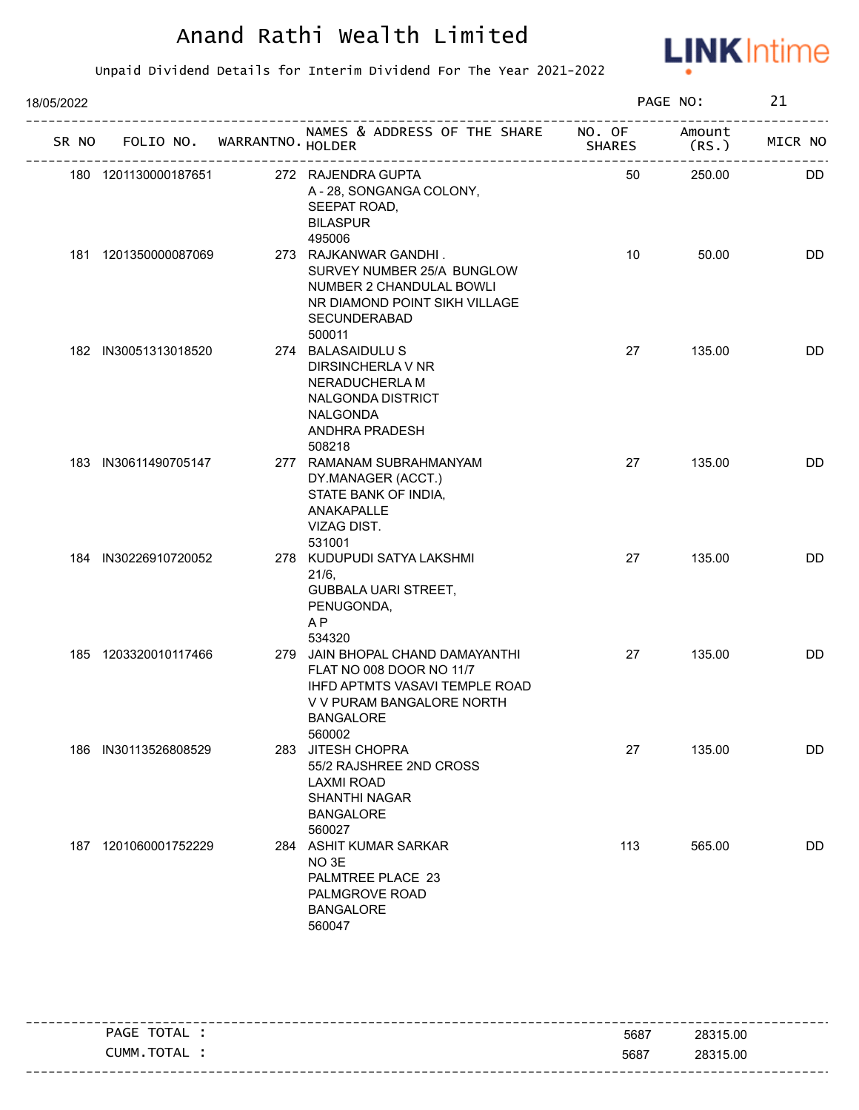

| 18/05/2022 |                      |                                   |                                                                                                                                                                  |               | PAGE NO:       | 21        |
|------------|----------------------|-----------------------------------|------------------------------------------------------------------------------------------------------------------------------------------------------------------|---------------|----------------|-----------|
|            |                      | SR NO FOLIO NO. WARRANTNO. HOLDER | NAMES & ADDRESS OF THE SHARE NO. OF                                                                                                                              | <b>SHARES</b> | Amount<br>(RS. | MICR NO   |
|            | 180 1201130000187651 |                                   | 272 RAJENDRA GUPTA<br>A - 28, SONGANGA COLONY,<br>SEEPAT ROAD,<br><b>BILASPUR</b><br>495006                                                                      | 50            | 250.00         | <b>DD</b> |
|            | 181 1201350000087069 |                                   | 273 RAJKANWAR GANDHI.<br>SURVEY NUMBER 25/A BUNGLOW<br>NUMBER 2 CHANDULAL BOWLI<br>NR DIAMOND POINT SIKH VILLAGE<br>SECUNDERABAD<br>500011                       | 10            | 50.00          | <b>DD</b> |
|            | 182 IN30051313018520 |                                   | 274 BALASAIDULU S<br>DIRSINCHERLA V NR<br>NERADUCHERLA M<br>NALGONDA DISTRICT<br><b>NALGONDA</b><br>ANDHRA PRADESH<br>508218                                     | 27            | 135.00         | <b>DD</b> |
|            | 183 IN30611490705147 |                                   | 277 RAMANAM SUBRAHMANYAM<br>DY.MANAGER (ACCT.)<br>STATE BANK OF INDIA,<br>ANAKAPALLE<br>VIZAG DIST.<br>531001                                                    | 27            | 135.00         | DD        |
|            | 184 IN30226910720052 |                                   | 278 KUDUPUDI SATYA LAKSHMI<br>$21/6$ ,<br><b>GUBBALA UARI STREET,</b><br>PENUGONDA,<br>AP<br>534320                                                              | 27            | 135.00         | DD        |
|            | 185 1203320010117466 |                                   | 279 JAIN BHOPAL CHAND DAMAYANTHI<br>FLAT NO 008 DOOR NO 11/7<br><b>IHFD APTMTS VASAVI TEMPLE ROAD</b><br>V V PURAM BANGALORE NORTH<br><b>BANGALORE</b><br>560002 | 27            | 135.00         | <b>DD</b> |
|            | 186 IN30113526808529 | 283                               | JITESH CHOPRA<br>55/2 RAJSHREE 2ND CROSS<br><b>LAXMI ROAD</b><br><b>SHANTHI NAGAR</b><br><b>BANGALORE</b><br>560027                                              | 27            | 135.00         | DD        |
|            | 187 1201060001752229 |                                   | 284 ASHIT KUMAR SARKAR<br>NO <sub>3E</sub><br>PALMTREE PLACE 23<br>PALMGROVE ROAD<br><b>BANGALORE</b><br>560047                                                  | 113           | 565.00         | DD        |

| TOTAL<br>PAGE | 5687 | 28315.00 |
|---------------|------|----------|
| CUMM.TOTAL    | 5687 | 28315.00 |
|               |      |          |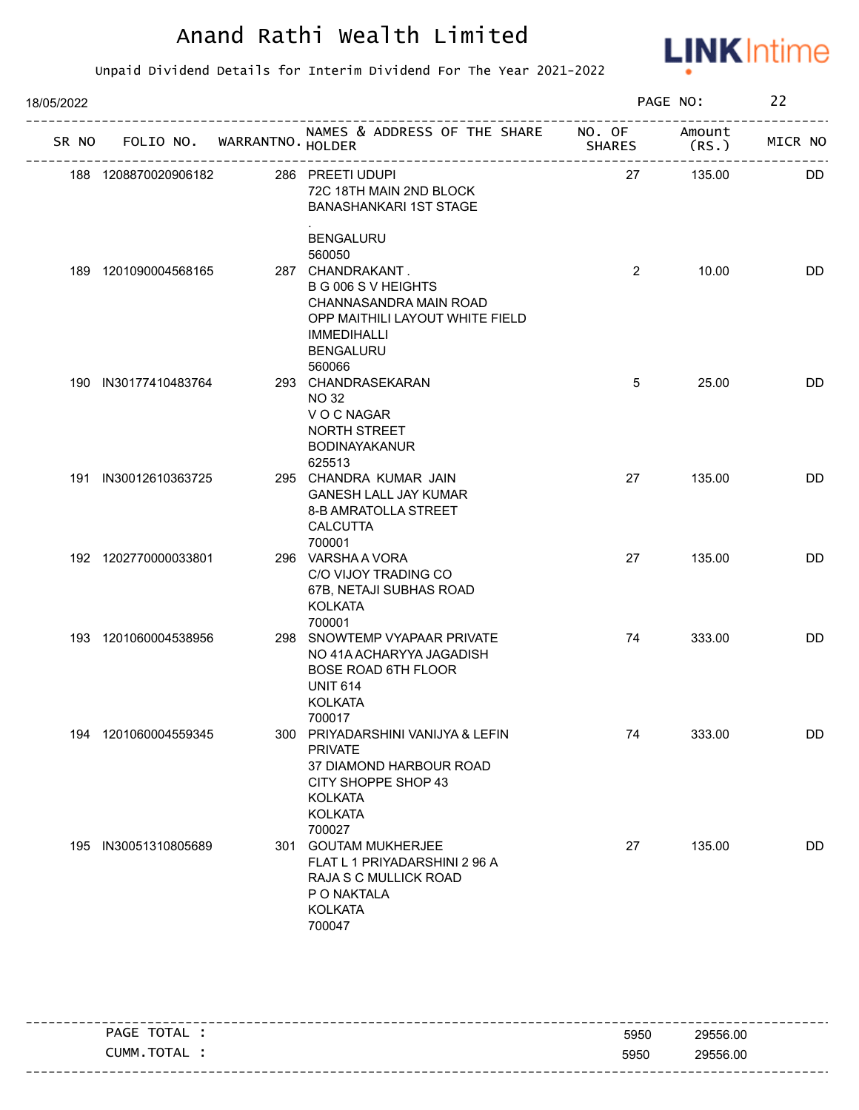

| 18/05/2022 |                      |                                   |                                                                                                                                                          |                | PAGE NO:        | 22        |
|------------|----------------------|-----------------------------------|----------------------------------------------------------------------------------------------------------------------------------------------------------|----------------|-----------------|-----------|
|            |                      | SR NO FOLIO NO. WARRANTNO. HOLDER | NAMES & ADDRESS OF THE SHARE NO. OF                                                                                                                      | <b>SHARES</b>  | Amount<br>(RS.) | MICR NO   |
|            | 188 1208870020906182 |                                   | 286 PREETI UDUPI<br>72C 18TH MAIN 2ND BLOCK<br><b>BANASHANKARI 1ST STAGE</b>                                                                             | 27             | 135.00          | <b>DD</b> |
|            | 189 1201090004568165 |                                   | <b>BENGALURU</b><br>560050<br>287 CHANDRAKANT.<br>B G 006 S V HEIGHTS<br>CHANNASANDRA MAIN ROAD<br>OPP MAITHILI LAYOUT WHITE FIELD<br><b>IMMEDIHALLI</b> | $\overline{2}$ | 10.00           | <b>DD</b> |
|            | 190 IN30177410483764 |                                   | <b>BENGALURU</b><br>560066<br>293 CHANDRASEKARAN<br><b>NO 32</b>                                                                                         | 5              | 25.00           | DD        |
|            |                      |                                   | V O C NAGAR<br>NORTH STREET<br><b>BODINAYAKANUR</b><br>625513                                                                                            |                |                 |           |
|            | 191 IN30012610363725 |                                   | 295 CHANDRA KUMAR JAIN<br><b>GANESH LALL JAY KUMAR</b><br>8-B AMRATOLLA STREET<br><b>CALCUTTA</b><br>700001                                              | 27             | 135.00          | DD        |
|            | 192 1202770000033801 |                                   | 296 VARSHAA VORA<br>C/O VIJOY TRADING CO<br>67B, NETAJI SUBHAS ROAD<br><b>KOLKATA</b>                                                                    | 27             | 135.00          | DD        |
|            | 193 1201060004538956 |                                   | 700001<br>298 SNOWTEMP VYAPAAR PRIVATE<br>NO 41A ACHARYYA JAGADISH<br><b>BOSE ROAD 6TH FLOOR</b><br><b>UNIT 614</b><br><b>KOLKATA</b><br>700017          | 74             | 333.00          | DD        |
|            | 194 1201060004559345 |                                   | 300 PRIYADARSHINI VANIJYA & LEFIN<br><b>PRIVATE</b><br>37 DIAMOND HARBOUR ROAD<br>CITY SHOPPE SHOP 43<br><b>KOLKATA</b><br><b>KOLKATA</b>                | 74             | 333.00          | DD        |
|            | 195 IN30051310805689 | 301                               | 700027<br><b>GOUTAM MUKHERJEE</b><br>FLAT L 1 PRIYADARSHINI 2 96 A<br>RAJA S C MULLICK ROAD<br>P O NAKTALA<br><b>KOLKATA</b><br>700047                   | 27             | 135.00          | <b>DD</b> |

| TOTAL<br>PAGE  |      | ----------------------------<br>29556.00 |
|----------------|------|------------------------------------------|
|                | 5950 |                                          |
| TOTAL<br>CUMM. | 5950 | 29556.00                                 |
|                |      |                                          |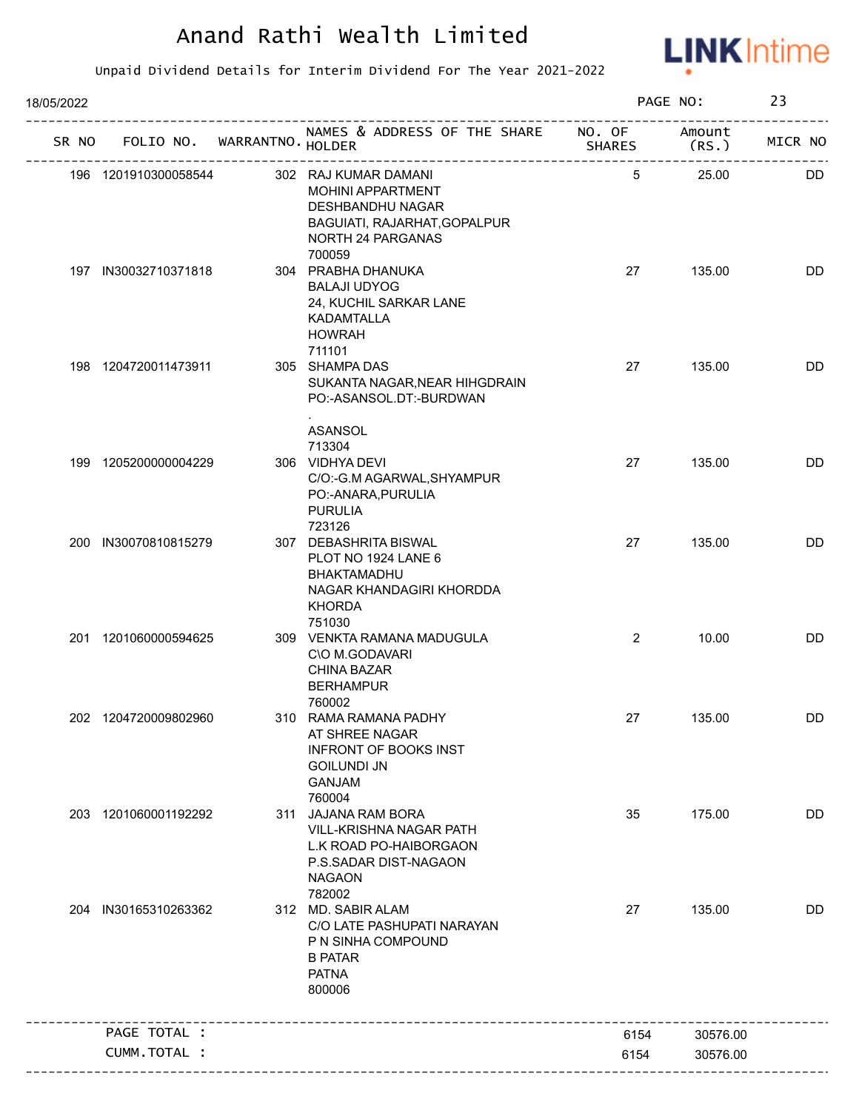

| 18/05/2022 |                                   |                                                                                                                                     |                | PAGE NO:        | 23      |
|------------|-----------------------------------|-------------------------------------------------------------------------------------------------------------------------------------|----------------|-----------------|---------|
|            | SR NO FOLIO NO. WARRANTNO. HOLDER | NAMES & ADDRESS OF THE SHARE NO. OF<br>-- <del>-</del><br>--------------------------------                                          | <b>SHARES</b>  | Amount<br>(RS.) | MICR NO |
|            | 196 1201910300058544              | 302 RAJ KUMAR DAMANI<br>MOHINI APPARTMENT<br>DESHBANDHU NAGAR<br>BAGUIATI, RAJARHAT, GOPALPUR<br>NORTH 24 PARGANAS                  | 5              | 25.00           | DD      |
|            | 197 IN30032710371818              | 700059<br>304 PRABHA DHANUKA<br><b>BALAJI UDYOG</b><br>24, KUCHIL SARKAR LANE<br><b>KADAMTALLA</b><br><b>HOWRAH</b><br>711101       | 27             | 135.00          | DD      |
|            | 198 1204720011473911              | 305 SHAMPA DAS<br>SUKANTA NAGAR, NEAR HIHGDRAIN<br>PO:-ASANSOL.DT:-BURDWAN<br>ASANSOL                                               | 27             | 135.00          | DD      |
|            | 199 1205200000004229              | 713304<br>306 VIDHYA DEVI<br>C/O:-G.M AGARWAL, SHYAMPUR<br>PO:-ANARA, PURULIA<br><b>PURULIA</b><br>723126                           | 27             | 135.00          | DD      |
|            | 200 IN30070810815279              | 307 DEBASHRITA BISWAL<br>PLOT NO 1924 LANE 6<br>BHAKTAMADHU<br>NAGAR KHANDAGIRI KHORDDA<br><b>KHORDA</b>                            | 27             | 135.00          | DD      |
|            | 201 1201060000594625              | 751030<br>309 VENKTA RAMANA MADUGULA<br>C\O M.GODAVARI<br><b>CHINA BAZAR</b><br><b>BERHAMPUR</b><br>760002                          | $\overline{2}$ | 10.00           | DD      |
|            | 202 1204720009802960              | 310 RAMA RAMANA PADHY<br>AT SHREE NAGAR<br><b>INFRONT OF BOOKS INST</b><br><b>GOILUNDI JN</b><br><b>GANJAM</b><br>760004            | 27             | 135.00          | DD      |
|            | 203 1201060001192292              | 311 JAJANA RAM BORA<br><b>VILL-KRISHNA NAGAR PATH</b><br>L.K ROAD PO-HAIBORGAON<br>P.S.SADAR DIST-NAGAON<br><b>NAGAON</b><br>782002 | 35             | 175.00          | DD      |
|            | 204 IN30165310263362              | 312 MD. SABIR ALAM<br>C/O LATE PASHUPATI NARAYAN<br>P N SINHA COMPOUND<br><b>B PATAR</b><br><b>PATNA</b><br>800006                  | 27             | 135.00          | DD      |
|            | PAGE TOTAL :                      |                                                                                                                                     | 6154           | 30576.00        |         |
|            | CUMM.TOTAL :                      |                                                                                                                                     | 6154           | 30576.00        |         |